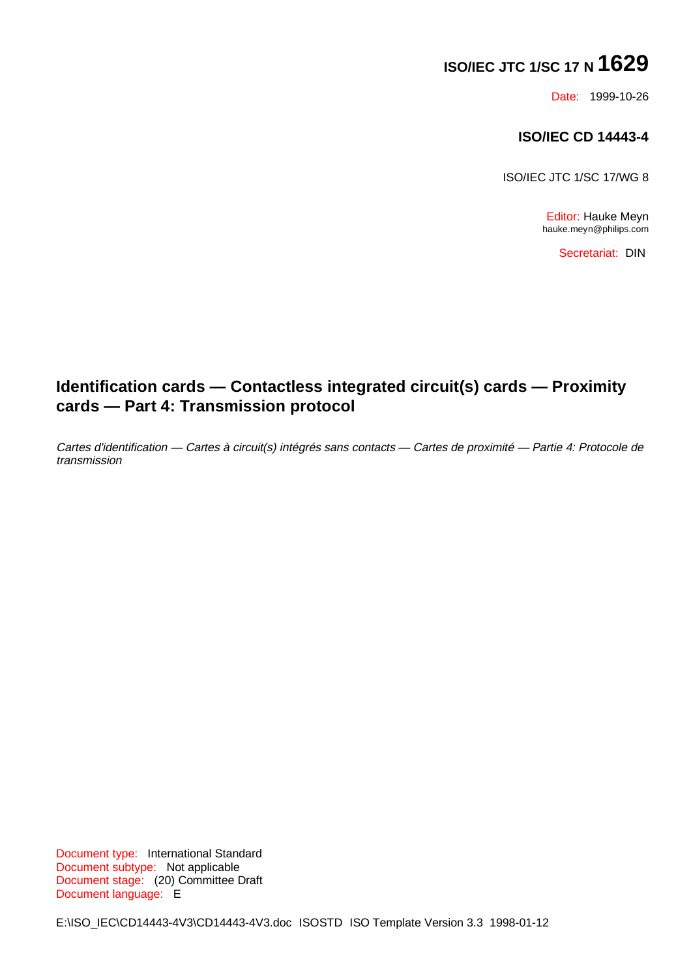# **ISO/IEC JTC 1/SC 17 N 1629**

Date: 1999-10-26

### **ISO/IEC CD 14443-4**

ISO/IEC JTC 1/SC 17/WG 8

Editor: Hauke Meyn hauke.meyn@philips.com

Secretariat: DIN

# **Identification cards — Contactless integrated circuit(s) cards — Proximity cards — Part 4: Transmission protocol**

Cartes d'identification — Cartes à circuit(s) intégrés sans contacts — Cartes de proximité — Partie 4: Protocole de transmission

Document type: International Standard Document subtype: Not applicable Document stage: (20) Committee Draft Document language: E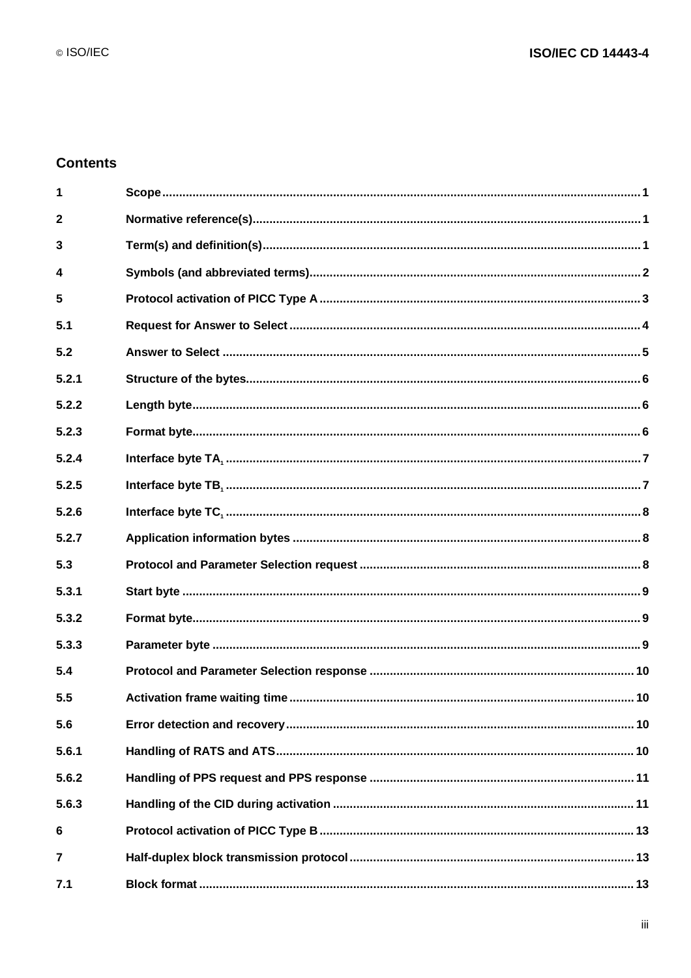### **Contents**

| 1              |  |
|----------------|--|
| $\mathbf{2}$   |  |
| 3              |  |
| 4              |  |
| 5              |  |
| 5.1            |  |
| 5.2            |  |
| 5.2.1          |  |
| 5.2.2          |  |
| 5.2.3          |  |
| 5.2.4          |  |
| 5.2.5          |  |
| 5.2.6          |  |
| 5.2.7          |  |
| 5.3            |  |
| 5.3.1          |  |
| 5.3.2          |  |
| 5.3.3          |  |
| 5.4            |  |
| 5.5            |  |
| 5.6            |  |
| 5.6.1          |  |
| 5.6.2          |  |
| 5.6.3          |  |
| 6              |  |
| $\overline{7}$ |  |
| 7.1            |  |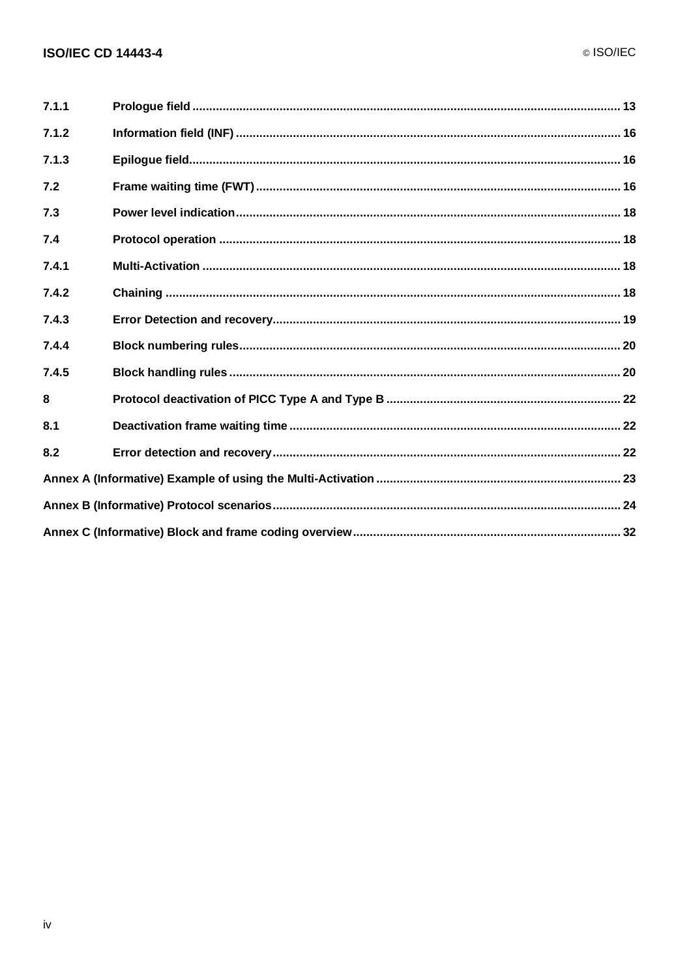| 7.1.1 |  |  |  |  |  |  |  |
|-------|--|--|--|--|--|--|--|
| 7.1.2 |  |  |  |  |  |  |  |
| 7.1.3 |  |  |  |  |  |  |  |
| 7.2   |  |  |  |  |  |  |  |
| 7.3   |  |  |  |  |  |  |  |
| 7.4   |  |  |  |  |  |  |  |
| 7.4.1 |  |  |  |  |  |  |  |
| 7.4.2 |  |  |  |  |  |  |  |
| 7.4.3 |  |  |  |  |  |  |  |
| 7.4.4 |  |  |  |  |  |  |  |
| 7.4.5 |  |  |  |  |  |  |  |
| 8     |  |  |  |  |  |  |  |
| 8.1   |  |  |  |  |  |  |  |
| 8.2   |  |  |  |  |  |  |  |
|       |  |  |  |  |  |  |  |
|       |  |  |  |  |  |  |  |
|       |  |  |  |  |  |  |  |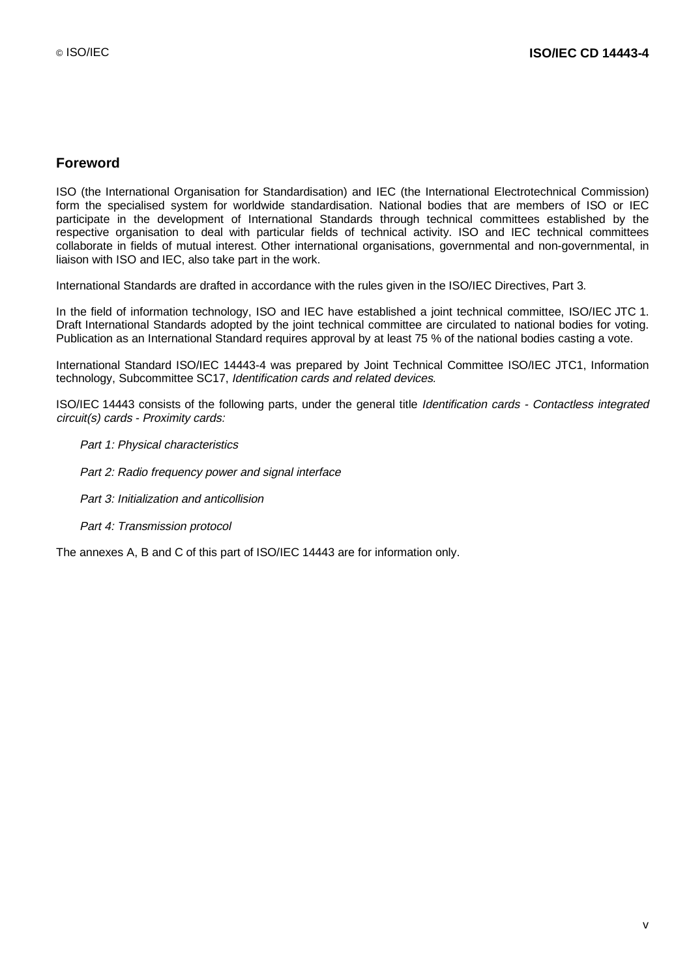### **Foreword**

ISO (the International Organisation for Standardisation) and IEC (the International Electrotechnical Commission) form the specialised system for worldwide standardisation. National bodies that are members of ISO or IEC participate in the development of International Standards through technical committees established by the respective organisation to deal with particular fields of technical activity. ISO and IEC technical committees collaborate in fields of mutual interest. Other international organisations, governmental and non-governmental, in liaison with ISO and IEC, also take part in the work.

International Standards are drafted in accordance with the rules given in the ISO/IEC Directives, Part 3.

In the field of information technology, ISO and IEC have established a joint technical committee, ISO/IEC JTC 1. Draft International Standards adopted by the joint technical committee are circulated to national bodies for voting. Publication as an International Standard requires approval by at least 75 % of the national bodies casting a vote.

International Standard ISO/IEC 14443-4 was prepared by Joint Technical Committee ISO/IEC JTC1, Information technology, Subcommittee SC17, Identification cards and related devices.

ISO/IEC 14443 consists of the following parts, under the general title Identification cards - Contactless integrated circuit(s) cards - Proximity cards:

- Part 1: Physical characteristics
- $-$  Part 2: Radio frequency power and signal interface
- Part 3: Initialization and anticollision
- Part 4: Transmission protocol

The annexes A, B and C of this part of ISO/IEC 14443 are for information only.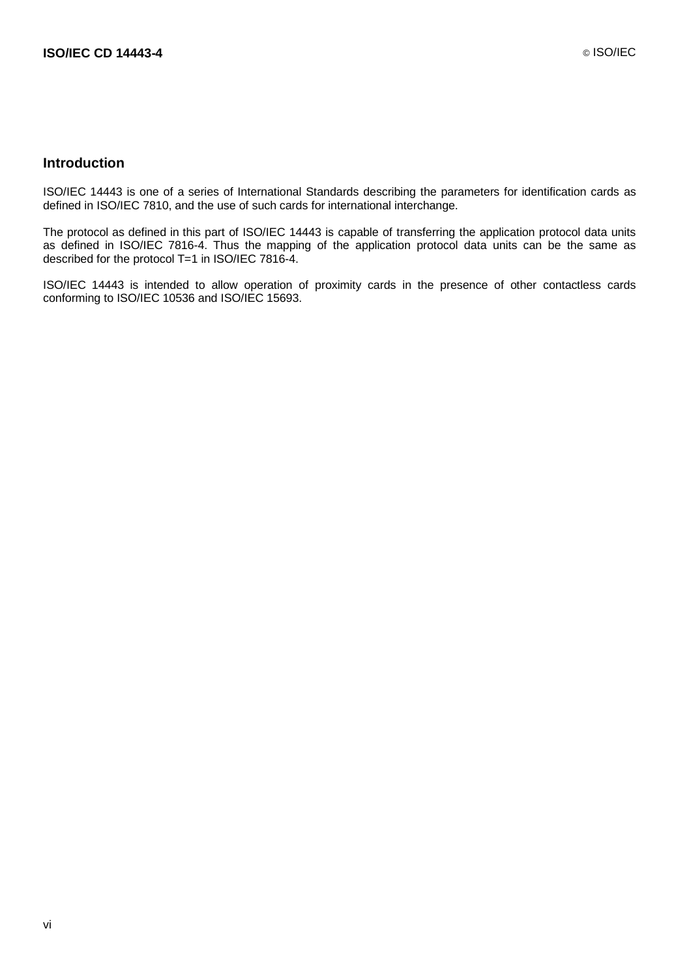#### **Introduction**

ISO/IEC 14443 is one of a series of International Standards describing the parameters for identification cards as defined in ISO/IEC 7810, and the use of such cards for international interchange.

The protocol as defined in this part of ISO/IEC 14443 is capable of transferring the application protocol data units as defined in ISO/IEC 7816-4. Thus the mapping of the application protocol data units can be the same as described for the protocol T=1 in ISO/IEC 7816-4.

ISO/IEC 14443 is intended to allow operation of proximity cards in the presence of other contactless cards conforming to ISO/IEC 10536 and ISO/IEC 15693.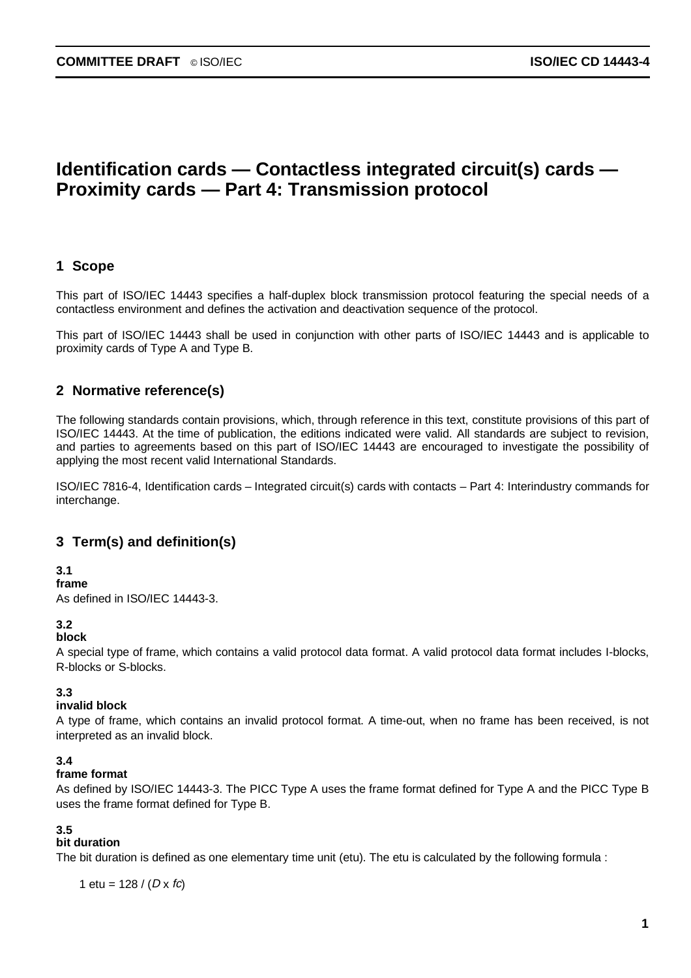# **Identification cards — Contactless integrated circuit(s) cards — Proximity cards — Part 4: Transmission protocol**

### **1 Scope**

This part of ISO/IEC 14443 specifies a half-duplex block transmission protocol featuring the special needs of a contactless environment and defines the activation and deactivation sequence of the protocol.

This part of ISO/IEC 14443 shall be used in conjunction with other parts of ISO/IEC 14443 and is applicable to proximity cards of Type A and Type B.

### **2 Normative reference(s)**

The following standards contain provisions, which, through reference in this text, constitute provisions of this part of ISO/IEC 14443. At the time of publication, the editions indicated were valid. All standards are subject to revision, and parties to agreements based on this part of ISO/IEC 14443 are encouraged to investigate the possibility of applying the most recent valid International Standards.

ISO/IEC 7816-4, Identification cards – Integrated circuit(s) cards with contacts – Part 4: Interindustry commands for interchange.

### **3 Term(s) and definition(s)**

#### **3.1**

**frame**

As defined in ISO/IEC 14443-3.

#### **3.2**

### **block**

A special type of frame, which contains a valid protocol data format. A valid protocol data format includes I-blocks, R-blocks or S-blocks.

#### **3.3**

### **invalid block**

A type of frame, which contains an invalid protocol format. A time-out, when no frame has been received, is not interpreted as an invalid block.

#### **3.4**

#### **frame format**

As defined by ISO/IEC 14443-3. The PICC Type A uses the frame format defined for Type A and the PICC Type B uses the frame format defined for Type B.

#### **3.5**

#### **bit duration**

The bit duration is defined as one elementary time unit (etu). The etu is calculated by the following formula :

1 etu =  $128 / (D \times fc)$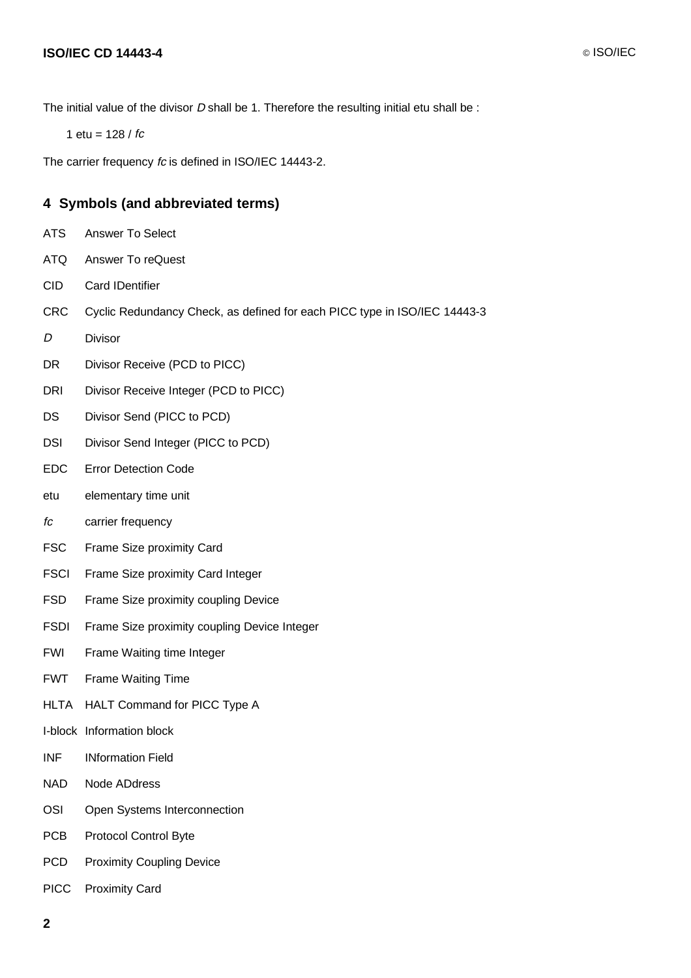The initial value of the divisor  $D$  shall be 1. Therefore the resulting initial etu shall be :

1 etu =  $128 / fc$ 

The carrier frequency fc is defined in ISO/IEC 14443-2.

### **4 Symbols (and abbreviated terms)**

- ATS Answer To Select
- ATQ Answer To reQuest
- CID Card IDentifier
- CRC Cyclic Redundancy Check, as defined for each PICC type in ISO/IEC 14443-3
- D Divisor
- DR Divisor Receive (PCD to PICC)
- DRI Divisor Receive Integer (PCD to PICC)
- DS Divisor Send (PICC to PCD)
- DSI Divisor Send Integer (PICC to PCD)
- EDC Error Detection Code
- etu elementary time unit
- fc carrier frequency
- FSC Frame Size proximity Card
- FSCI Frame Size proximity Card Integer
- FSD Frame Size proximity coupling Device
- FSDI Frame Size proximity coupling Device Integer
- FWI Frame Waiting time Integer
- FWT Frame Waiting Time
- HLTA HALT Command for PICC Type A
- I-block Information block
- INF INformation Field
- NAD Node ADdress
- OSI Open Systems Interconnection
- PCB Protocol Control Byte
- PCD Proximity Coupling Device
- PICC Proximity Card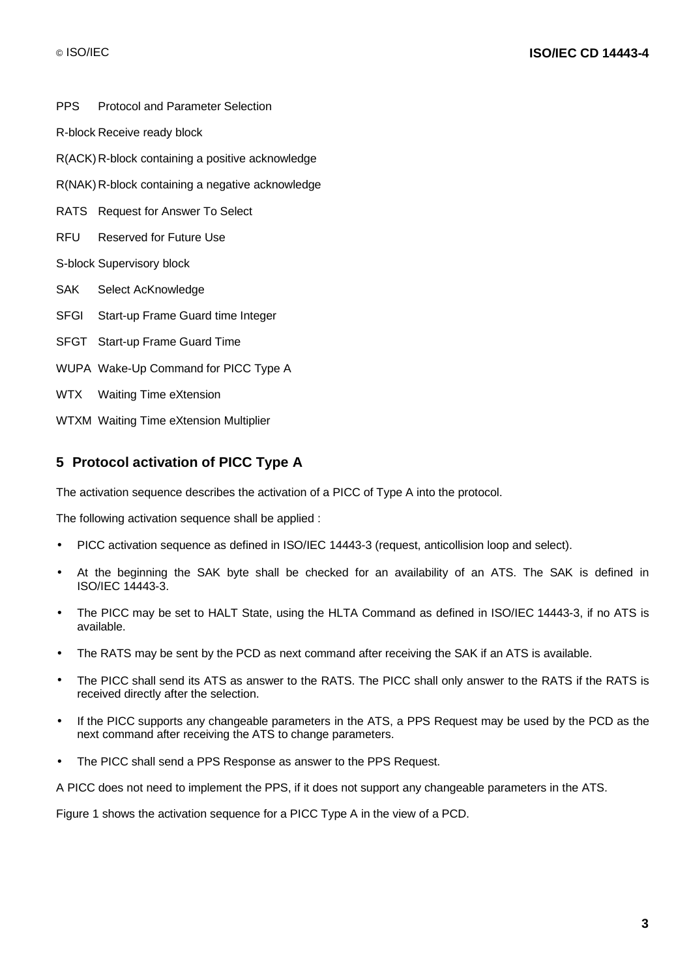PPS Protocol and Parameter Selection

R-block Receive ready block

R(ACK) R-block containing a positive acknowledge

R(NAK) R-block containing a negative acknowledge

RATS Request for Answer To Select

RFU Reserved for Future Use

S-block Supervisory block

- SAK Select AcKnowledge
- SFGI Start-up Frame Guard time Integer
- SFGT Start-up Frame Guard Time
- WUPA Wake-Up Command for PICC Type A
- WTX Waiting Time eXtension

WTXM Waiting Time eXtension Multiplier

### **5 Protocol activation of PICC Type A**

The activation sequence describes the activation of a PICC of Type A into the protocol.

The following activation sequence shall be applied :

- PICC activation sequence as defined in ISO/IEC 14443-3 (request, anticollision loop and select).
- At the beginning the SAK byte shall be checked for an availability of an ATS. The SAK is defined in ISO/IEC 14443-3.
- The PICC may be set to HALT State, using the HLTA Command as defined in ISO/IEC 14443-3, if no ATS is available.
- The RATS may be sent by the PCD as next command after receiving the SAK if an ATS is available.
- The PICC shall send its ATS as answer to the RATS. The PICC shall only answer to the RATS if the RATS is received directly after the selection.
- If the PICC supports any changeable parameters in the ATS, a PPS Request may be used by the PCD as the next command after receiving the ATS to change parameters.
- The PICC shall send a PPS Response as answer to the PPS Request.

A PICC does not need to implement the PPS, if it does not support any changeable parameters in the ATS.

Figure 1 shows the activation sequence for a PICC Type A in the view of a PCD.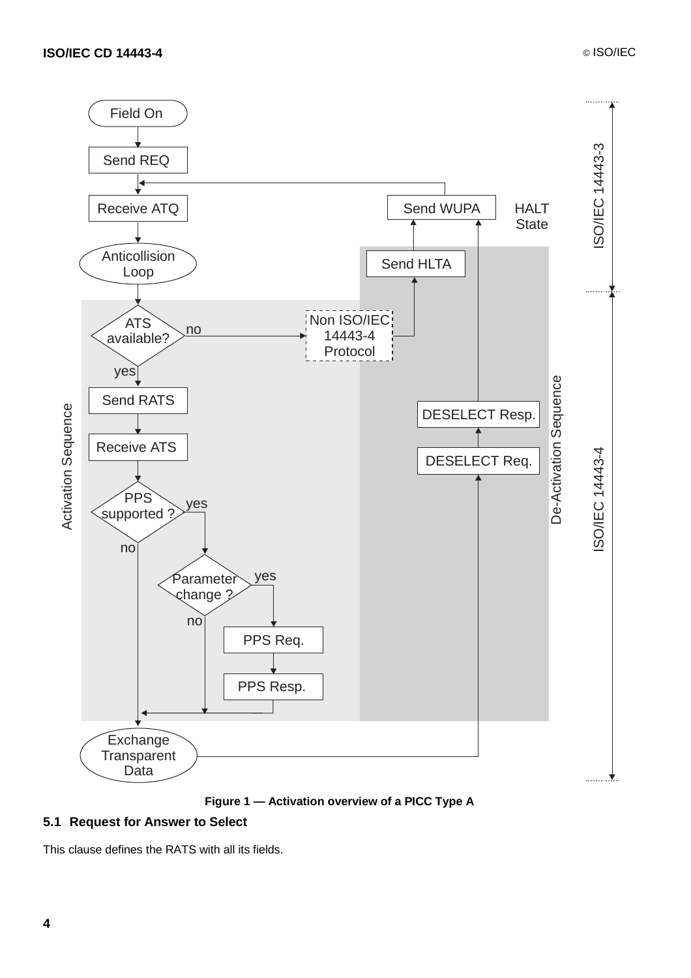



### **5.1 Request for Answer to Select**

This clause defines the RATS with all its fields.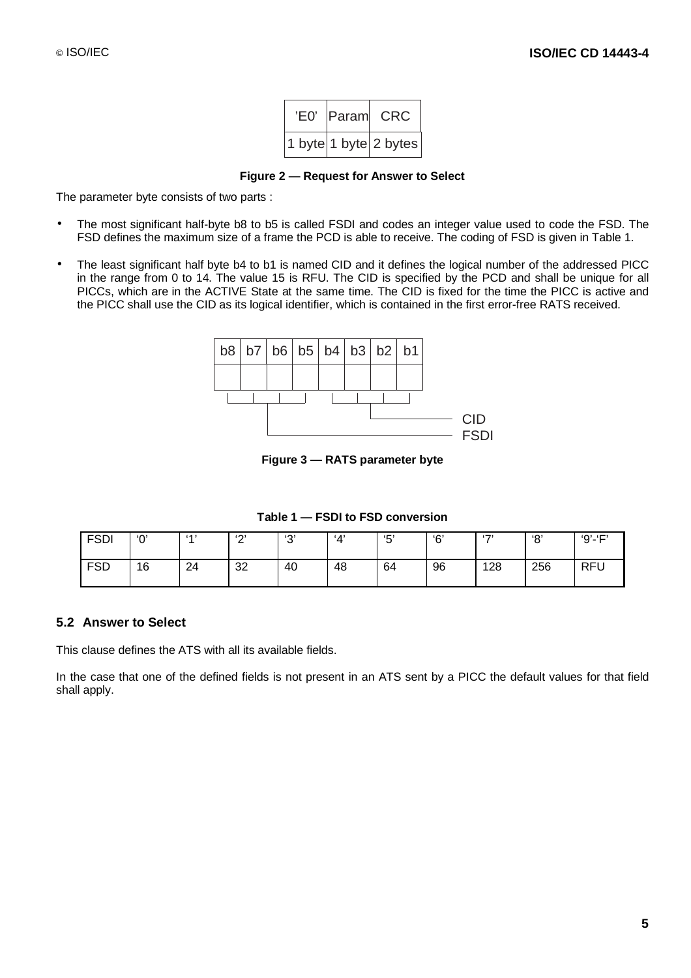| 'E0' | Param CRC                 |
|------|---------------------------|
|      | 1 byte   1 byte   2 bytes |

**Figure 2 — Request for Answer to Select**

The parameter byte consists of two parts :

- The most significant half-byte b8 to b5 is called FSDI and codes an integer value used to code the FSD. The FSD defines the maximum size of a frame the PCD is able to receive. The coding of FSD is given in Table 1.
- The least significant half byte b4 to b1 is named CID and it defines the logical number of the addressed PICC in the range from 0 to 14. The value 15 is RFU. The CID is specified by the PCD and shall be unique for all PICCs, which are in the ACTIVE State at the same time. The CID is fixed for the time the PICC is active and the PICC shall use the CID as its logical identifier, which is contained in the first error-free RATS received.



**Figure 3 — RATS parameter byte**

**Table 1 — FSDI to FSD conversion**

| <b>ECN</b><br>ושפ | '0' | (A) | (0)<br><u>_</u> | $\sim$<br>ັ | <b>A</b> | '斥'<br>◡ | 'ና' | (7) | $\Omega$ | $9' - F'$  |
|-------------------|-----|-----|-----------------|-------------|----------|----------|-----|-----|----------|------------|
| ESD<br>טכי        | 16  | 24  | 32              | 40          | 48       | 64       | 96  | 128 | 256      | <b>RFU</b> |

### **5.2 Answer to Select**

This clause defines the ATS with all its available fields.

In the case that one of the defined fields is not present in an ATS sent by a PICC the default values for that field shall apply.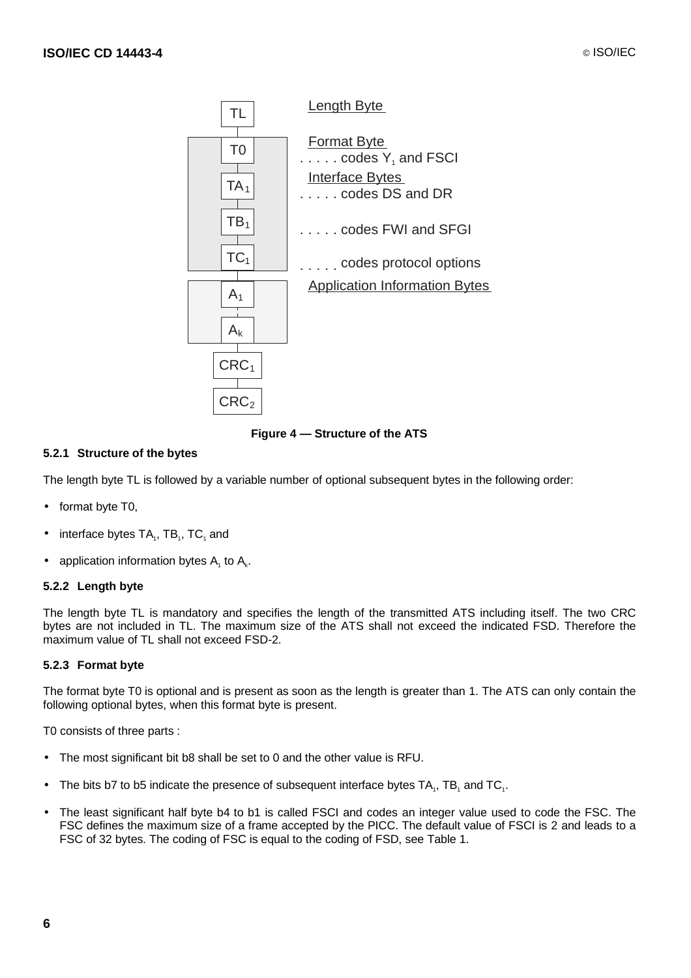

**Figure 4 — Structure of the ATS**

### **5.2.1 Structure of the bytes**

The length byte TL is followed by a variable number of optional subsequent bytes in the following order:

- format byte T0,
- interface bytes  $TA_1$ ,  $TB_1$ ,  $TC_1$  and
- application information bytes  $A_1$  to  $A_k$ .

### **5.2.2 Length byte**

The length byte TL is mandatory and specifies the length of the transmitted ATS including itself. The two CRC bytes are not included in TL. The maximum size of the ATS shall not exceed the indicated FSD. Therefore the maximum value of TL shall not exceed FSD-2.

#### **5.2.3 Format byte**

The format byte T0 is optional and is present as soon as the length is greater than 1. The ATS can only contain the following optional bytes, when this format byte is present.

T0 consists of three parts :

- The most significant bit b8 shall be set to 0 and the other value is RFU.
- The bits b7 to b5 indicate the presence of subsequent interface bytes TA., TB, and TC.
- The least significant half byte b4 to b1 is called FSCI and codes an integer value used to code the FSC. The FSC defines the maximum size of a frame accepted by the PICC. The default value of FSCI is 2 and leads to a FSC of 32 bytes. The coding of FSC is equal to the coding of FSD, see Table 1.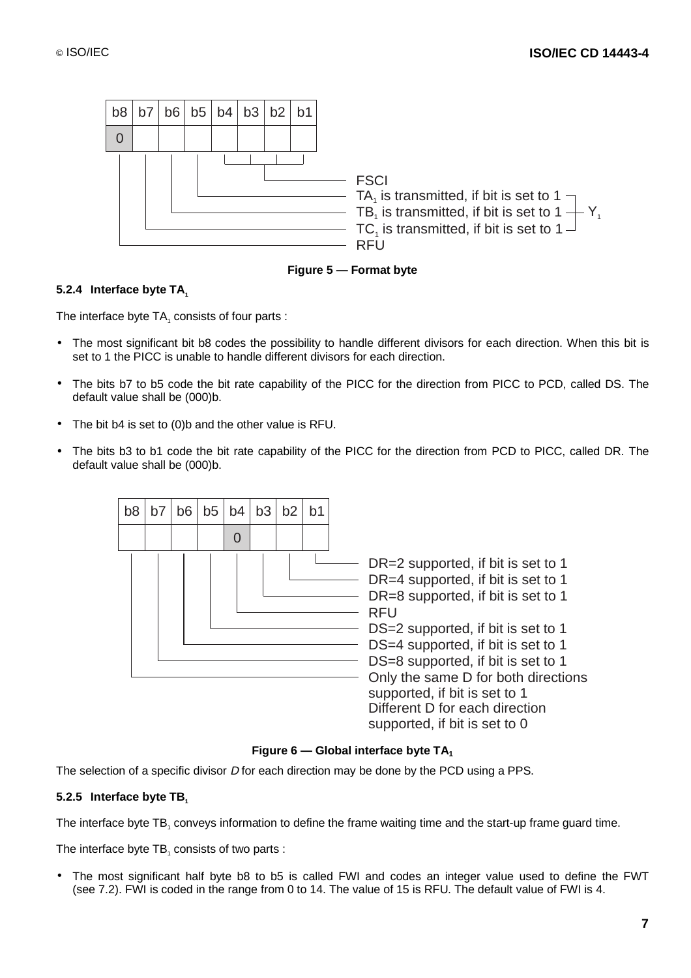

**Figure 5 — Format byte**

#### **5.2.4 Interface byte TA**

The interface byte TA<sub>1</sub> consists of four parts :

- The most significant bit b8 codes the possibility to handle different divisors for each direction. When this bit is set to 1 the PICC is unable to handle different divisors for each direction.
- The bits b7 to b5 code the bit rate capability of the PICC for the direction from PICC to PCD, called DS. The default value shall be (000)b.
- The bit b4 is set to (0)b and the other value is RFU.
- The bits b3 to b1 code the bit rate capability of the PICC for the direction from PCD to PICC, called DR. The default value shall be (000)b.



#### **Figure 6 — Global interface byte TA1**

The selection of a specific divisor D for each direction may be done by the PCD using a PPS.

#### **5.2.5** Interface byte TB.

The interface byte TB<sub>1</sub> conveys information to define the frame waiting time and the start-up frame guard time.

The interface byte TB, consists of two parts :

• The most significant half byte b8 to b5 is called FWI and codes an integer value used to define the FWT (see 7.2). FWI is coded in the range from 0 to 14. The value of 15 is RFU. The default value of FWI is 4.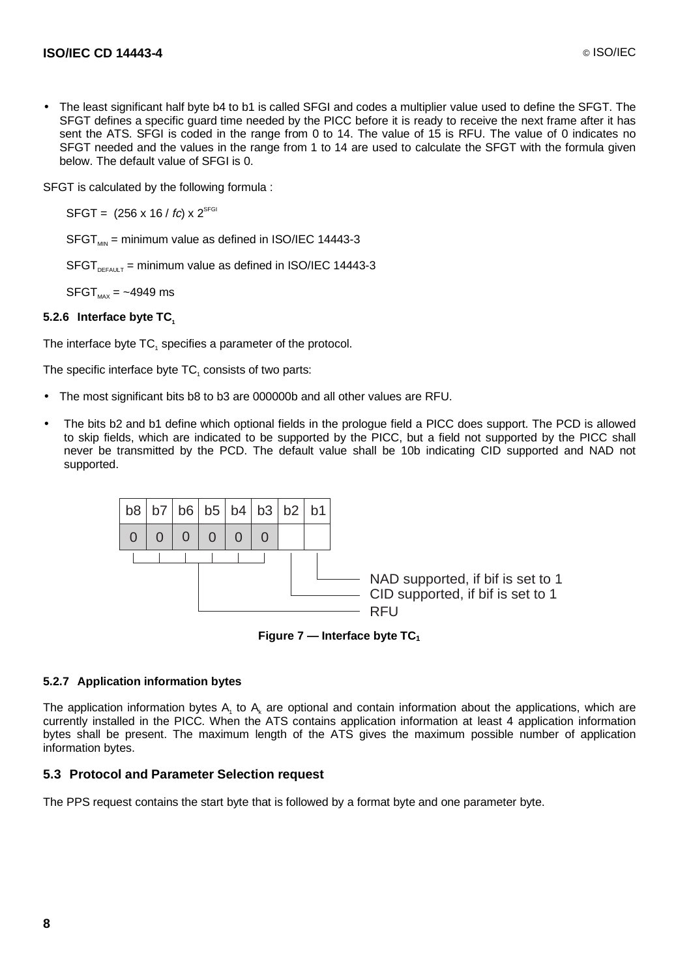• The least significant half byte b4 to b1 is called SFGI and codes a multiplier value used to define the SFGT. The SFGT defines a specific guard time needed by the PICC before it is ready to receive the next frame after it has sent the ATS. SFGI is coded in the range from 0 to 14. The value of 15 is RFU. The value of 0 indicates no SFGT needed and the values in the range from 1 to 14 are used to calculate the SFGT with the formula given below. The default value of SFGI is 0.

SFGT is calculated by the following formula :

 $SFGT = (256 \times 16 / fc) \times 2^{SFGI}$ 

 $SFGT_{MIN}$  = minimum value as defined in ISO/IEC 14443-3

 $SFGT_{DFAUT}$  = minimum value as defined in ISO/IEC 14443-3

 $SFGT_{MAX} = -4949$  ms

### **5.2.6** Interface byte TC<sub>1</sub>

The interface byte TC<sub>1</sub> specifies a parameter of the protocol.

The specific interface byte  $TC_1$  consists of two parts:

- The most significant bits b8 to b3 are 000000b and all other values are RFU.
- The bits b2 and b1 define which optional fields in the prologue field a PICC does support. The PCD is allowed to skip fields, which are indicated to be supported by the PICC, but a field not supported by the PICC shall never be transmitted by the PCD. The default value shall be 10b indicating CID supported and NAD not supported.



**Figure 7 — Interface byte TC1**

#### **5.2.7 Application information bytes**

The application information bytes  $A_1$  to  $A_k$  are optional and contain information about the applications, which are currently installed in the PICC. When the ATS contains application information at least 4 application information bytes shall be present. The maximum length of the ATS gives the maximum possible number of application information bytes.

#### **5.3 Protocol and Parameter Selection request**

The PPS request contains the start byte that is followed by a format byte and one parameter byte.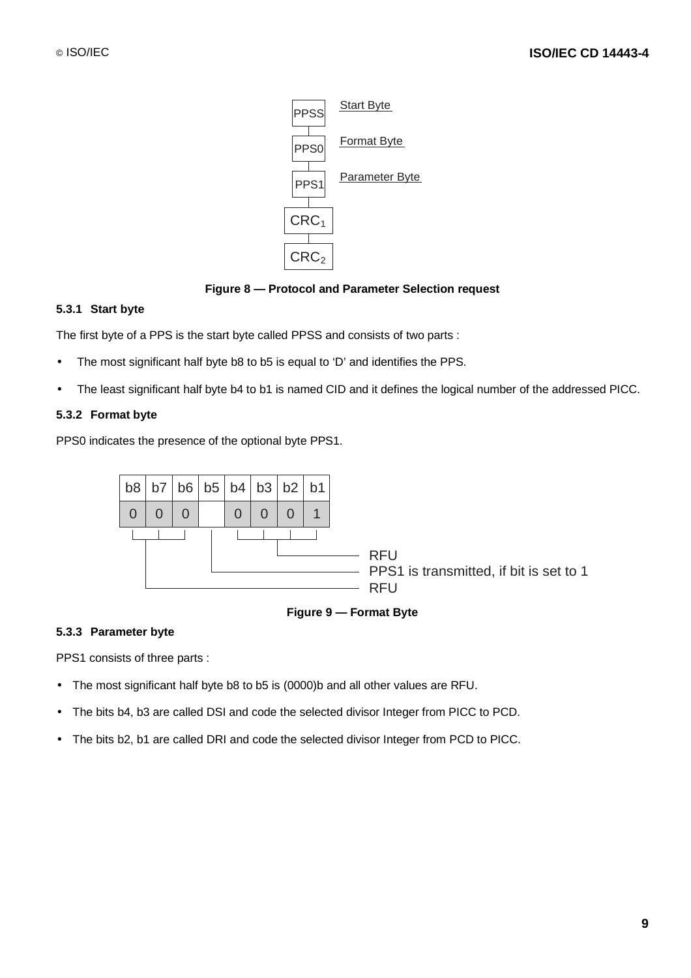

**Figure 8 — Protocol and Parameter Selection request**

#### **5.3.1 Start byte**

The first byte of a PPS is the start byte called PPSS and consists of two parts :

- The most significant half byte b8 to b5 is equal to 'D' and identifies the PPS.
- The least significant half byte b4 to b1 is named CID and it defines the logical number of the addressed PICC.

#### **5.3.2 Format byte**

PPS0 indicates the presence of the optional byte PPS1.



**Figure 9 — Format Byte**

#### **5.3.3 Parameter byte**

PPS1 consists of three parts :

- The most significant half byte b8 to b5 is (0000)b and all other values are RFU.
- The bits b4, b3 are called DSI and code the selected divisor Integer from PICC to PCD.
- The bits b2, b1 are called DRI and code the selected divisor Integer from PCD to PICC.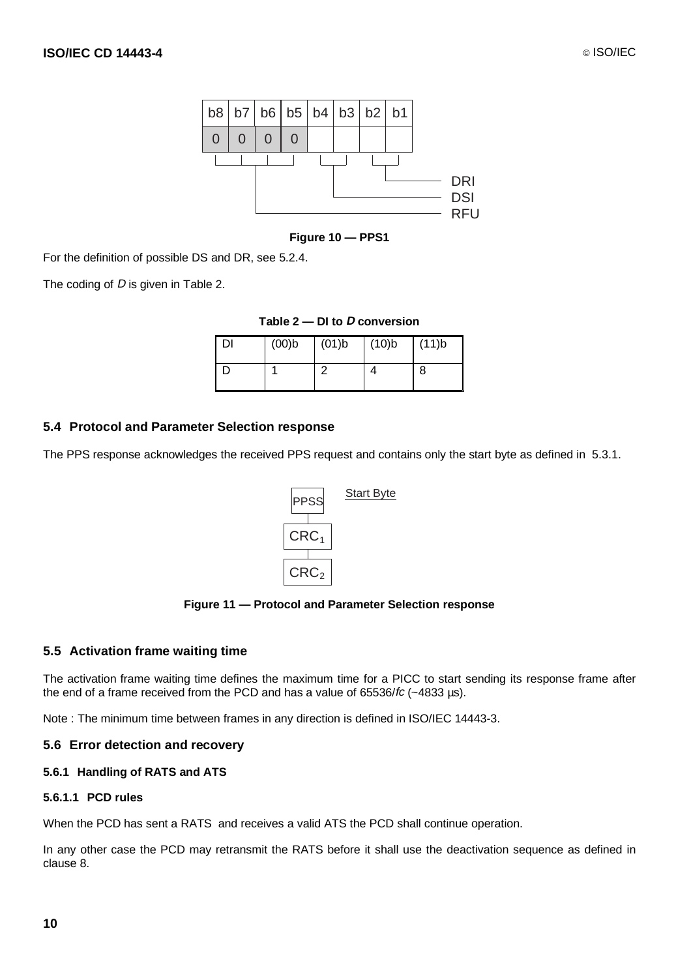

**Figure 10 — PPS1**

For the definition of possible DS and DR, see 5.2.4.

The coding of D is given in Table 2.

|  | Table $2$ – DI to D conversion |  |  |
|--|--------------------------------|--|--|
|--|--------------------------------|--|--|

| DI | (00) | (01)b | (10)b | (11)b |
|----|------|-------|-------|-------|
|    |      |       |       | 8     |

#### **5.4 Protocol and Parameter Selection response**

The PPS response acknowledges the received PPS request and contains only the start byte as defined in 5.3.1.



**Figure 11 — Protocol and Parameter Selection response**

#### **5.5 Activation frame waiting time**

The activation frame waiting time defines the maximum time for a PICC to start sending its response frame after the end of a frame received from the PCD and has a value of 65536/fc (~4833 µs).

Note : The minimum time between frames in any direction is defined in ISO/IEC 14443-3.

#### **5.6 Error detection and recovery**

#### **5.6.1 Handling of RATS and ATS**

#### **5.6.1.1 PCD rules**

When the PCD has sent a RATS and receives a valid ATS the PCD shall continue operation.

In any other case the PCD may retransmit the RATS before it shall use the deactivation sequence as defined in clause 8.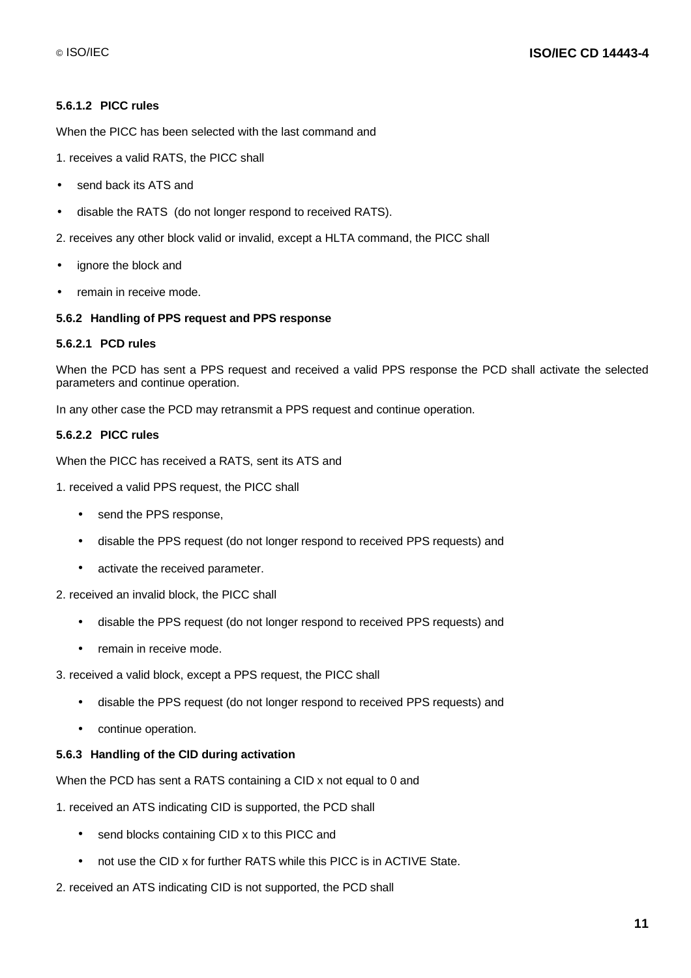#### **5.6.1.2 PICC rules**

When the PICC has been selected with the last command and

- 1. receives a valid RATS, the PICC shall
- send back its ATS and
- disable the RATS (do not longer respond to received RATS).

2. receives any other block valid or invalid, except a HLTA command, the PICC shall

- ignore the block and
- remain in receive mode.

### **5.6.2 Handling of PPS request and PPS response**

#### **5.6.2.1 PCD rules**

When the PCD has sent a PPS request and received a valid PPS response the PCD shall activate the selected parameters and continue operation.

In any other case the PCD may retransmit a PPS request and continue operation.

#### **5.6.2.2 PICC rules**

When the PICC has received a RATS, sent its ATS and

1. received a valid PPS request, the PICC shall

- send the PPS response,
- disable the PPS request (do not longer respond to received PPS requests) and
- activate the received parameter.

2. received an invalid block, the PICC shall

- disable the PPS request (do not longer respond to received PPS requests) and
- remain in receive mode.
- 3. received a valid block, except a PPS request, the PICC shall
	- disable the PPS request (do not longer respond to received PPS requests) and
	- continue operation.

#### **5.6.3 Handling of the CID during activation**

When the PCD has sent a RATS containing a CID x not equal to 0 and

1. received an ATS indicating CID is supported, the PCD shall

- send blocks containing CID x to this PICC and
- not use the CID x for further RATS while this PICC is in ACTIVE State.
- 2. received an ATS indicating CID is not supported, the PCD shall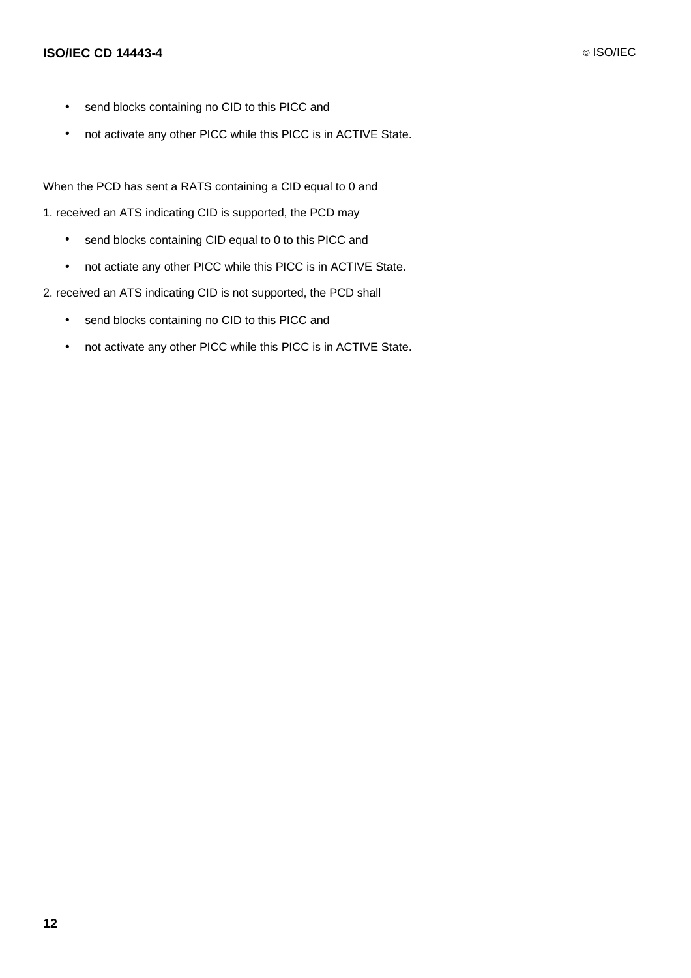### **ISO/IEC CD 14443-4** © ISO/IEC

- send blocks containing no CID to this PICC and
- not activate any other PICC while this PICC is in ACTIVE State.

When the PCD has sent a RATS containing a CID equal to 0 and

- 1. received an ATS indicating CID is supported, the PCD may
	- send blocks containing CID equal to 0 to this PICC and
	- not actiate any other PICC while this PICC is in ACTIVE State.
- 2. received an ATS indicating CID is not supported, the PCD shall
	- send blocks containing no CID to this PICC and
	- not activate any other PICC while this PICC is in ACTIVE State.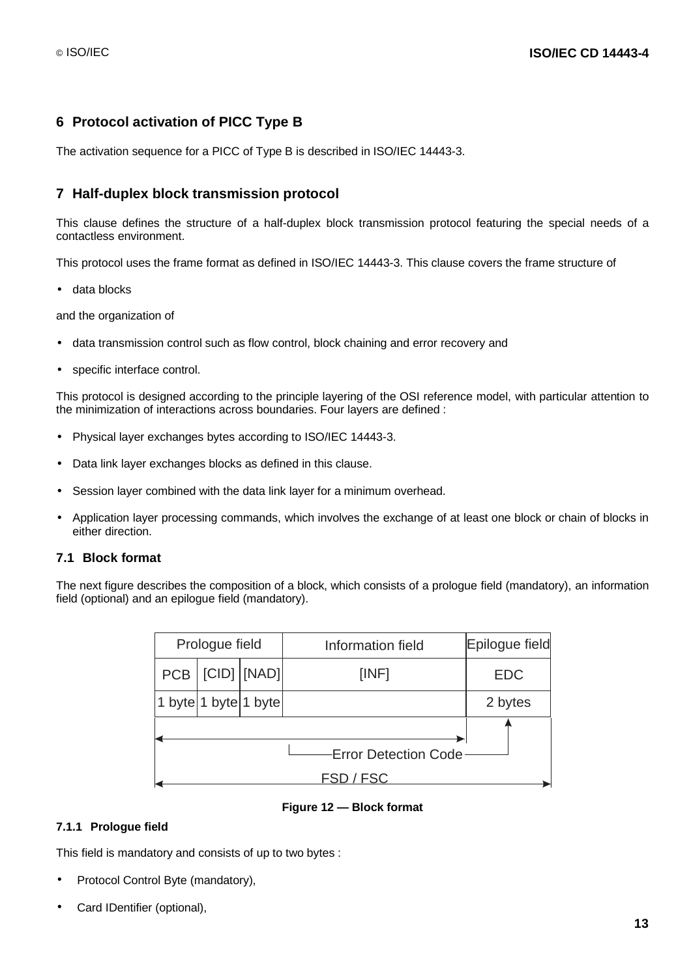### **6 Protocol activation of PICC Type B**

The activation sequence for a PICC of Type B is described in ISO/IEC 14443-3.

### **7 Half-duplex block transmission protocol**

This clause defines the structure of a half-duplex block transmission protocol featuring the special needs of a contactless environment.

This protocol uses the frame format as defined in ISO/IEC 14443-3. This clause covers the frame structure of

• data blocks

and the organization of

- data transmission control such as flow control, block chaining and error recovery and
- specific interface control.

This protocol is designed according to the principle layering of the OSI reference model, with particular attention to the minimization of interactions across boundaries. Four layers are defined :

- Physical layer exchanges bytes according to ISO/IEC 14443-3.
- Data link layer exchanges blocks as defined in this clause.
- Session layer combined with the data link layer for a minimum overhead.
- Application layer processing commands, which involves the exchange of at least one block or chain of blocks in either direction.

#### **7.1 Block format**

The next figure describes the composition of a block, which consists of a prologue field (mandatory), an information field (optional) and an epilogue field (mandatory).

| Prologue field         |  |              | Information field | Epilogue field |
|------------------------|--|--------------|-------------------|----------------|
| <b>PCB</b>             |  | [CID]  [NAD] | [INF]             | <b>EDC</b>     |
| $1$ byte 1 byte 1 byte |  |              |                   | 2 bytes        |
|                        |  |              |                   |                |
|                        |  |              |                   |                |

#### **Figure 12 — Block format**

#### **7.1.1 Prologue field**

This field is mandatory and consists of up to two bytes :

- Protocol Control Byte (mandatory),
- Card IDentifier (optional),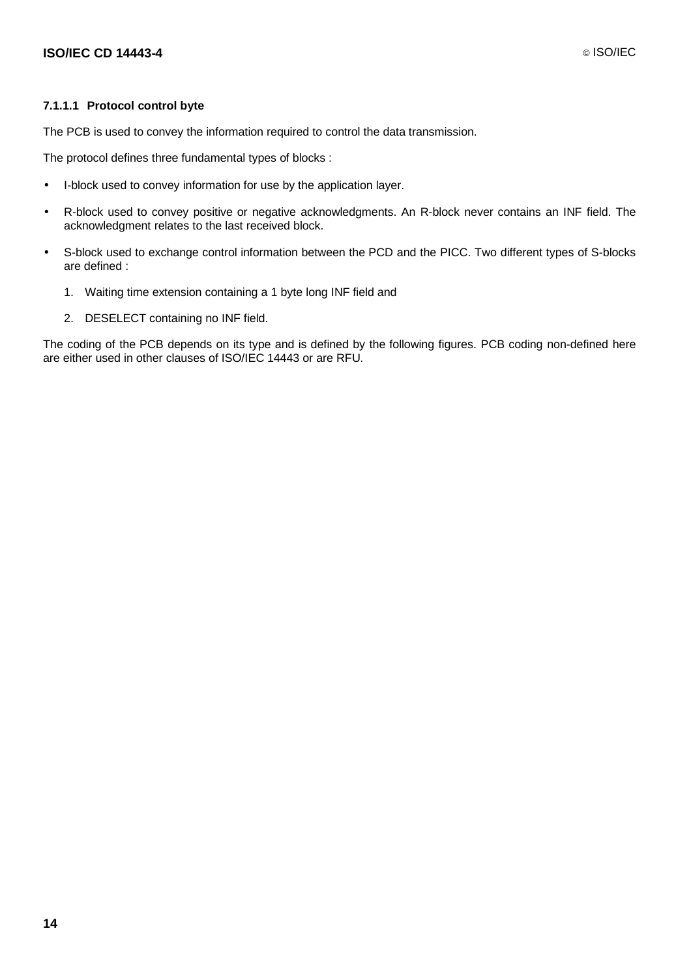#### **7.1.1.1 Protocol control byte**

The PCB is used to convey the information required to control the data transmission.

The protocol defines three fundamental types of blocks :

- I-block used to convey information for use by the application layer.
- R-block used to convey positive or negative acknowledgments. An R-block never contains an INF field. The acknowledgment relates to the last received block.
- S-block used to exchange control information between the PCD and the PICC. Two different types of S-blocks are defined :
	- 1. Waiting time extension containing a 1 byte long INF field and
	- 2. DESELECT containing no INF field.

The coding of the PCB depends on its type and is defined by the following figures. PCB coding non-defined here are either used in other clauses of ISO/IEC 14443 or are RFU.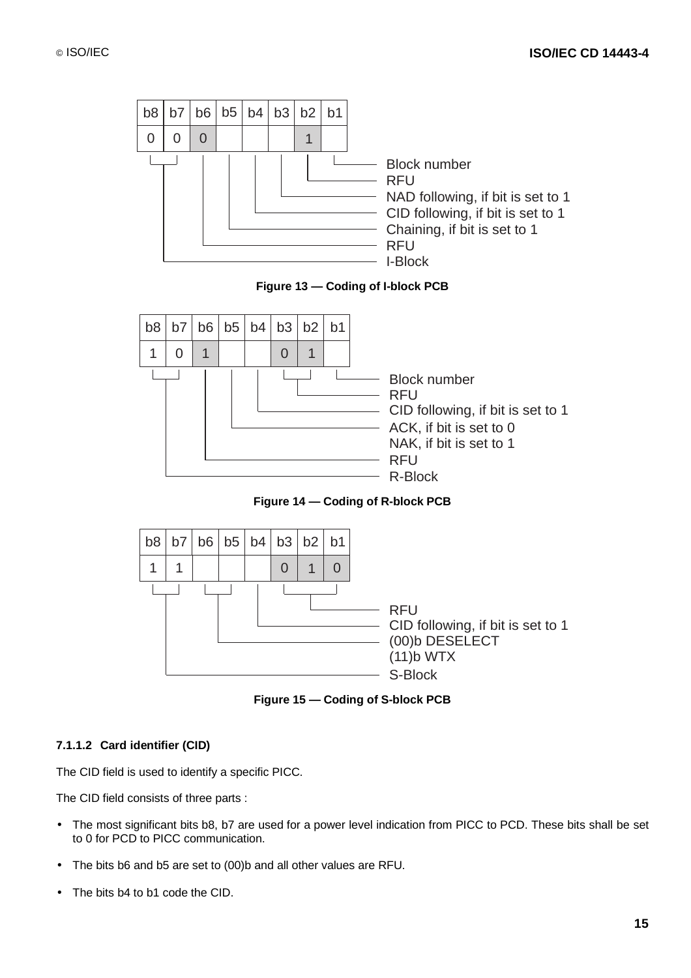



**Figure 14 — Coding of R-block PCB**



**Figure 15 — Coding of S-block PCB**

### **7.1.1.2 Card identifier (CID)**

The CID field is used to identify a specific PICC.

The CID field consists of three parts :

- The most significant bits b8, b7 are used for a power level indication from PICC to PCD. These bits shall be set to 0 for PCD to PICC communication.
- The bits b6 and b5 are set to (00)b and all other values are RFU.
- The bits b4 to b1 code the CID.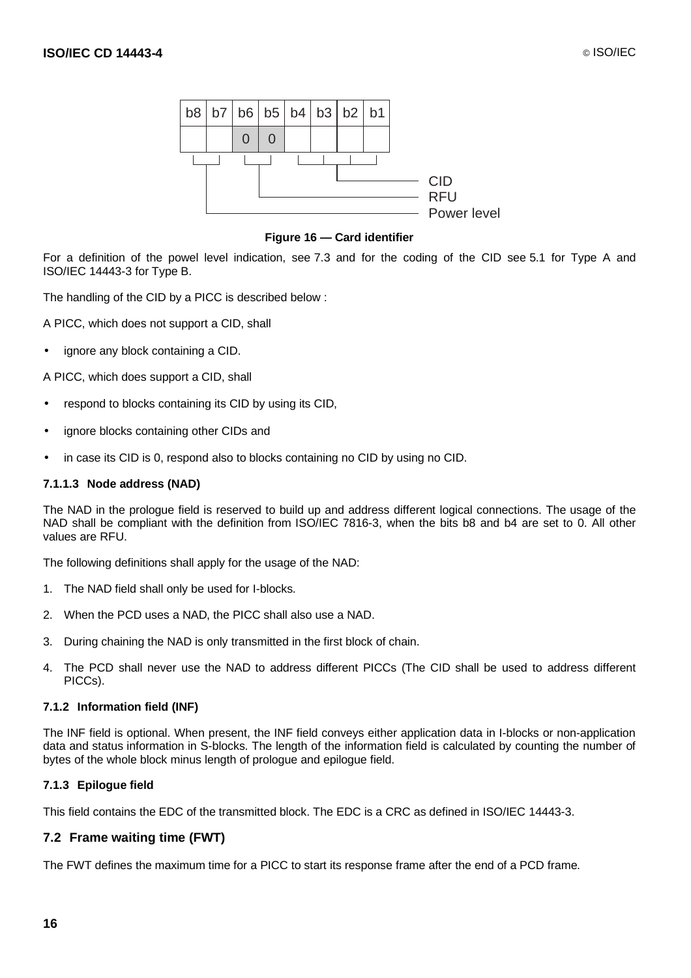

#### **Figure 16 — Card identifier**

For a definition of the powel level indication, see 7.3 and for the coding of the CID see 5.1 for Type A and ISO/IEC 14443-3 for Type B.

The handling of the CID by a PICC is described below :

A PICC, which does not support a CID, shall

ignore any block containing a CID.

A PICC, which does support a CID, shall

- respond to blocks containing its CID by using its CID,
- ignore blocks containing other CIDs and
- in case its CID is 0, respond also to blocks containing no CID by using no CID.

#### **7.1.1.3 Node address (NAD)**

The NAD in the prologue field is reserved to build up and address different logical connections. The usage of the NAD shall be compliant with the definition from ISO/IEC 7816-3, when the bits b8 and b4 are set to 0. All other values are RFU.

The following definitions shall apply for the usage of the NAD:

- 1. The NAD field shall only be used for I-blocks.
- 2. When the PCD uses a NAD, the PICC shall also use a NAD.
- 3. During chaining the NAD is only transmitted in the first block of chain.
- 4. The PCD shall never use the NAD to address different PICCs (The CID shall be used to address different PICCs).

#### **7.1.2 Information field (INF)**

The INF field is optional. When present, the INF field conveys either application data in I-blocks or non-application data and status information in S-blocks. The length of the information field is calculated by counting the number of bytes of the whole block minus length of prologue and epilogue field.

#### **7.1.3 Epilogue field**

This field contains the EDC of the transmitted block. The EDC is a CRC as defined in ISO/IEC 14443-3.

#### **7.2 Frame waiting time (FWT)**

The FWT defines the maximum time for a PICC to start its response frame after the end of a PCD frame.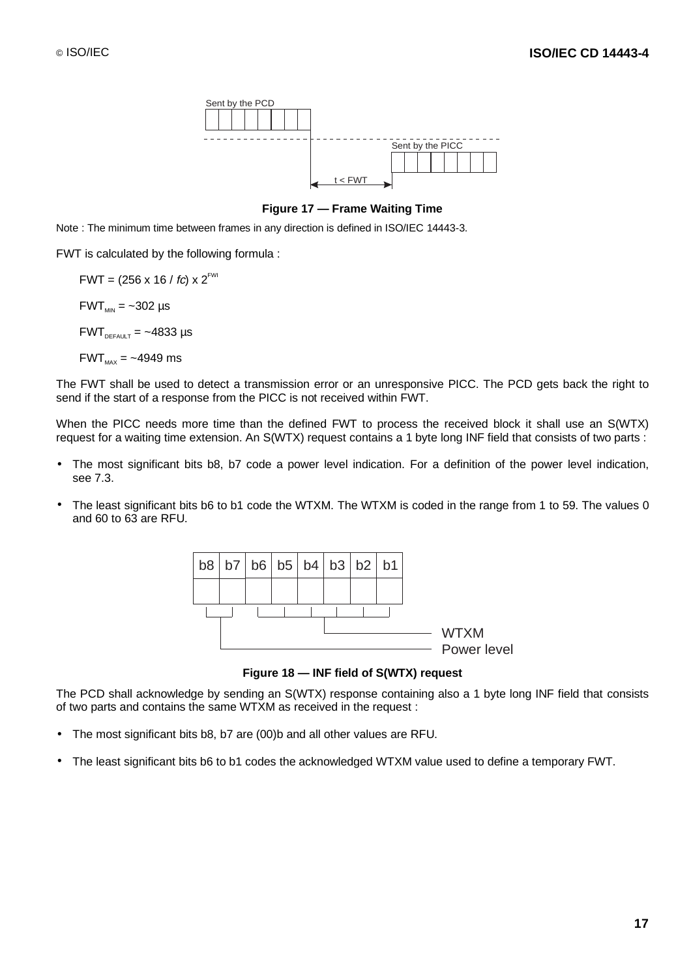

#### **Figure 17 — Frame Waiting Time**

Note : The minimum time between frames in any direction is defined in ISO/IEC 14443-3.

FWT is calculated by the following formula :

 $FWT = (256 \times 16 / fc) \times 2^{FWI}$  $FWT_{MN} = -302 \text{ }\mu\text{s}$  $FWT_{DEFALU-T} = -4833 \text{ }\mu\text{s}$  $FWT_{\text{max}} = -4949$  ms

The FWT shall be used to detect a transmission error or an unresponsive PICC. The PCD gets back the right to send if the start of a response from the PICC is not received within FWT.

When the PICC needs more time than the defined FWT to process the received block it shall use an S(WTX) request for a waiting time extension. An S(WTX) request contains a 1 byte long INF field that consists of two parts :

- The most significant bits b8, b7 code a power level indication. For a definition of the power level indication, see 7.3.
- The least significant bits b6 to b1 code the WTXM. The WTXM is coded in the range from 1 to 59. The values 0 and 60 to 63 are RFU.



**Figure 18 — INF field of S(WTX) request**

The PCD shall acknowledge by sending an S(WTX) response containing also a 1 byte long INF field that consists of two parts and contains the same WTXM as received in the request :

- The most significant bits b8, b7 are (00)b and all other values are RFU.
- The least significant bits b6 to b1 codes the acknowledged WTXM value used to define a temporary FWT.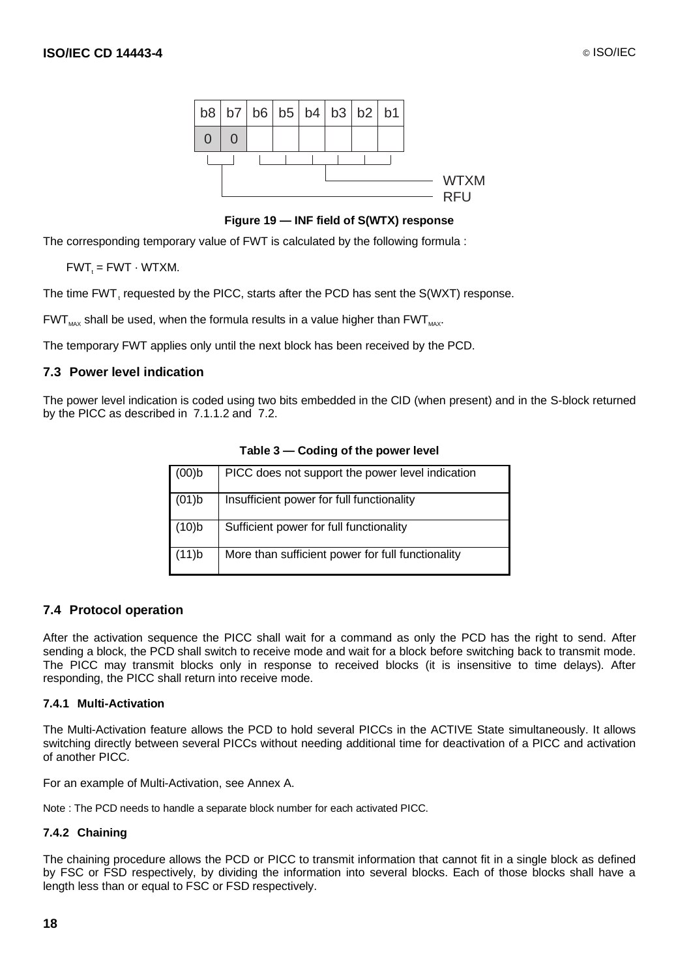

**Figure 19 — INF field of S(WTX) response**

The corresponding temporary value of FWT is calculated by the following formula :

 $FWT_t = FWT \cdot WTXM.$ 

The time FWT, requested by the PICC, starts after the PCD has sent the S(WXT) response.

 $FWT_{\text{max}}$  shall be used, when the formula results in a value higher than  $FWT_{\text{max}}$ .

The temporary FWT applies only until the next block has been received by the PCD.

#### **7.3 Power level indication**

The power level indication is coded using two bits embedded in the CID (when present) and in the S-block returned by the PICC as described in 7.1.1.2 and 7.2.

| (00)b | PICC does not support the power level indication  |
|-------|---------------------------------------------------|
| (01)b | Insufficient power for full functionality         |
| (10)b | Sufficient power for full functionality           |
| (11)b | More than sufficient power for full functionality |

**Table 3 — Coding of the power level**

### **7.4 Protocol operation**

After the activation sequence the PICC shall wait for a command as only the PCD has the right to send. After sending a block, the PCD shall switch to receive mode and wait for a block before switching back to transmit mode. The PICC may transmit blocks only in response to received blocks (it is insensitive to time delays). After responding, the PICC shall return into receive mode.

#### **7.4.1 Multi-Activation**

The Multi-Activation feature allows the PCD to hold several PICCs in the ACTIVE State simultaneously. It allows switching directly between several PICCs without needing additional time for deactivation of a PICC and activation of another PICC.

For an example of Multi-Activation, see Annex A.

Note : The PCD needs to handle a separate block number for each activated PICC.

#### **7.4.2 Chaining**

The chaining procedure allows the PCD or PICC to transmit information that cannot fit in a single block as defined by FSC or FSD respectively, by dividing the information into several blocks. Each of those blocks shall have a length less than or equal to FSC or FSD respectively.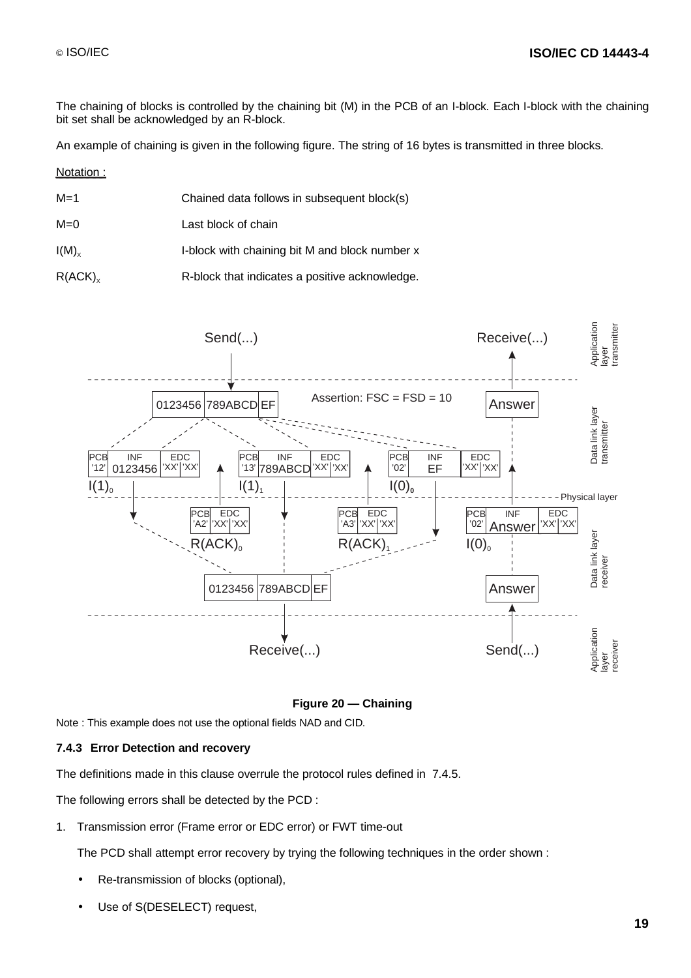The chaining of blocks is controlled by the chaining bit (M) in the PCB of an I-block. Each I-block with the chaining bit set shall be acknowledged by an R-block.

An example of chaining is given in the following figure. The string of 16 bytes is transmitted in three blocks.

Notation :

- M=1 Chained data follows in subsequent block(s)
- M=0 Last block of chain

 $I(M)_x$  I-block with chaining bit M and block number x

 $R(ACK)$ , R-block that indicates a positive acknowledge.



#### **Figure 20 — Chaining**

Note : This example does not use the optional fields NAD and CID.

#### **7.4.3 Error Detection and recovery**

The definitions made in this clause overrule the protocol rules defined in 7.4.5.

The following errors shall be detected by the PCD :

1. Transmission error (Frame error or EDC error) or FWT time-out

The PCD shall attempt error recovery by trying the following techniques in the order shown :

- Re-transmission of blocks (optional),
- Use of S(DESELECT) request,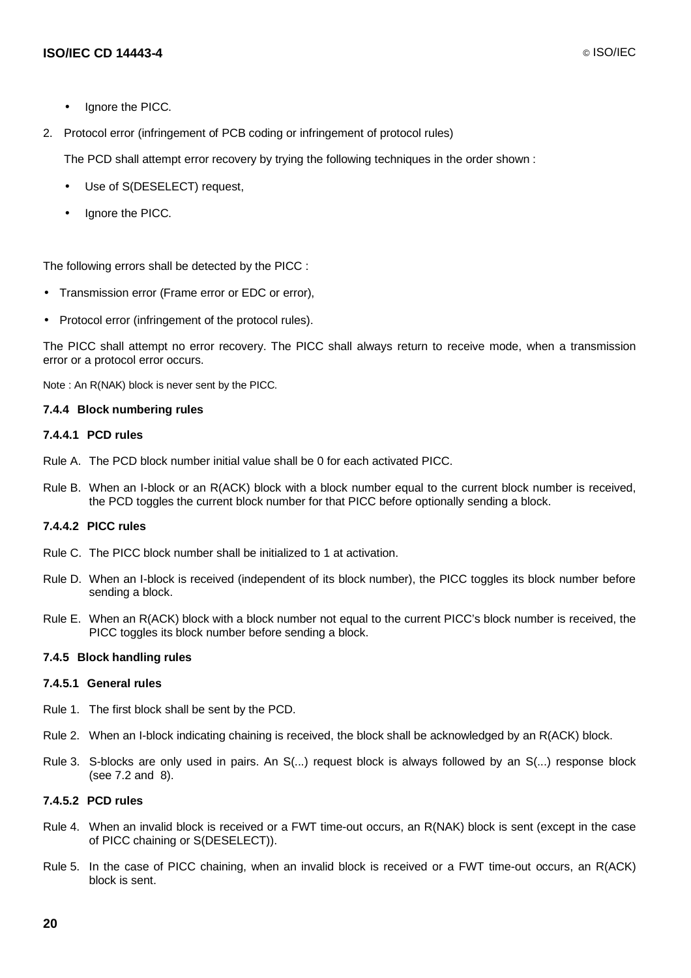- Ignore the PICC.
- 2. Protocol error (infringement of PCB coding or infringement of protocol rules)

The PCD shall attempt error recovery by trying the following techniques in the order shown :

- Use of S(DESELECT) request,
- Ignore the PICC.

The following errors shall be detected by the PICC :

- Transmission error (Frame error or EDC or error),
- Protocol error (infringement of the protocol rules).

The PICC shall attempt no error recovery. The PICC shall always return to receive mode, when a transmission error or a protocol error occurs.

Note : An R(NAK) block is never sent by the PICC.

#### **7.4.4 Block numbering rules**

#### **7.4.4.1 PCD rules**

- Rule A. The PCD block number initial value shall be 0 for each activated PICC.
- Rule B. When an I-block or an R(ACK) block with a block number equal to the current block number is received, the PCD toggles the current block number for that PICC before optionally sending a block.

#### **7.4.4.2 PICC rules**

- Rule C. The PICC block number shall be initialized to 1 at activation.
- Rule D. When an I-block is received (independent of its block number), the PICC toggles its block number before sending a block.
- Rule E. When an R(ACK) block with a block number not equal to the current PICC's block number is received, the PICC toggles its block number before sending a block.

#### **7.4.5 Block handling rules**

#### **7.4.5.1 General rules**

- Rule 1. The first block shall be sent by the PCD.
- Rule 2. When an I-block indicating chaining is received, the block shall be acknowledged by an R(ACK) block.
- Rule 3. S-blocks are only used in pairs. An S(...) request block is always followed by an S(...) response block (see 7.2 and 8).

#### **7.4.5.2 PCD rules**

- Rule 4. When an invalid block is received or a FWT time-out occurs, an R(NAK) block is sent (except in the case of PICC chaining or S(DESELECT)).
- Rule 5. In the case of PICC chaining, when an invalid block is received or a FWT time-out occurs, an R(ACK) block is sent.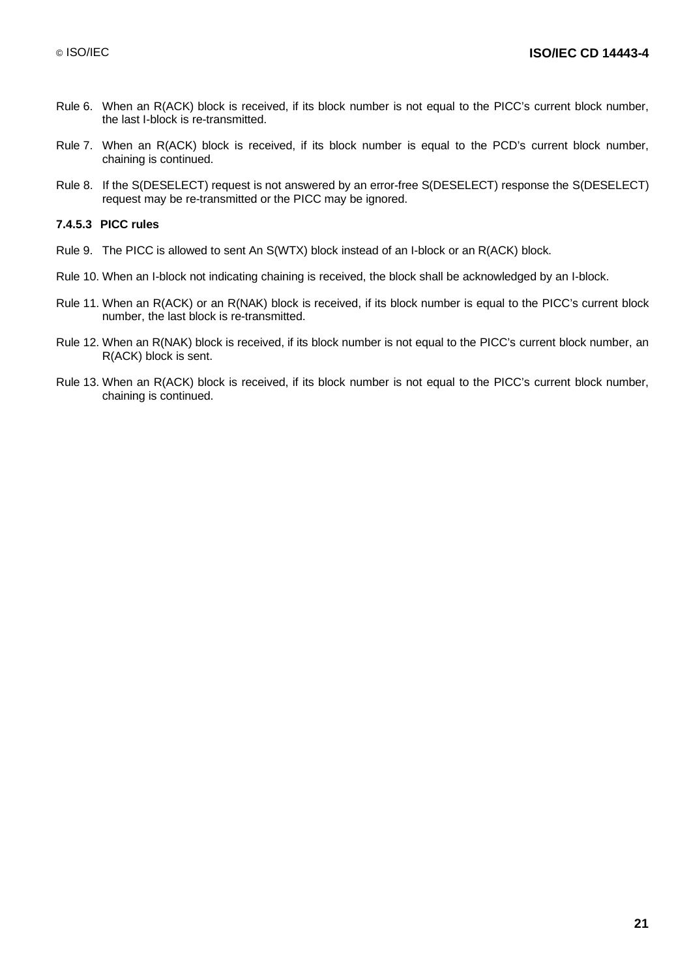- Rule 6. When an R(ACK) block is received, if its block number is not equal to the PICC's current block number, the last I-block is re-transmitted.
- Rule 7. When an R(ACK) block is received, if its block number is equal to the PCD's current block number, chaining is continued.
- Rule 8. If the S(DESELECT) request is not answered by an error-free S(DESELECT) response the S(DESELECT) request may be re-transmitted or the PICC may be ignored.

#### **7.4.5.3 PICC rules**

- Rule 9. The PICC is allowed to sent An S(WTX) block instead of an I-block or an R(ACK) block.
- Rule 10. When an I-block not indicating chaining is received, the block shall be acknowledged by an I-block.
- Rule 11. When an R(ACK) or an R(NAK) block is received, if its block number is equal to the PICC's current block number, the last block is re-transmitted.
- Rule 12. When an R(NAK) block is received, if its block number is not equal to the PICC's current block number, an R(ACK) block is sent.
- Rule 13. When an R(ACK) block is received, if its block number is not equal to the PICC's current block number, chaining is continued.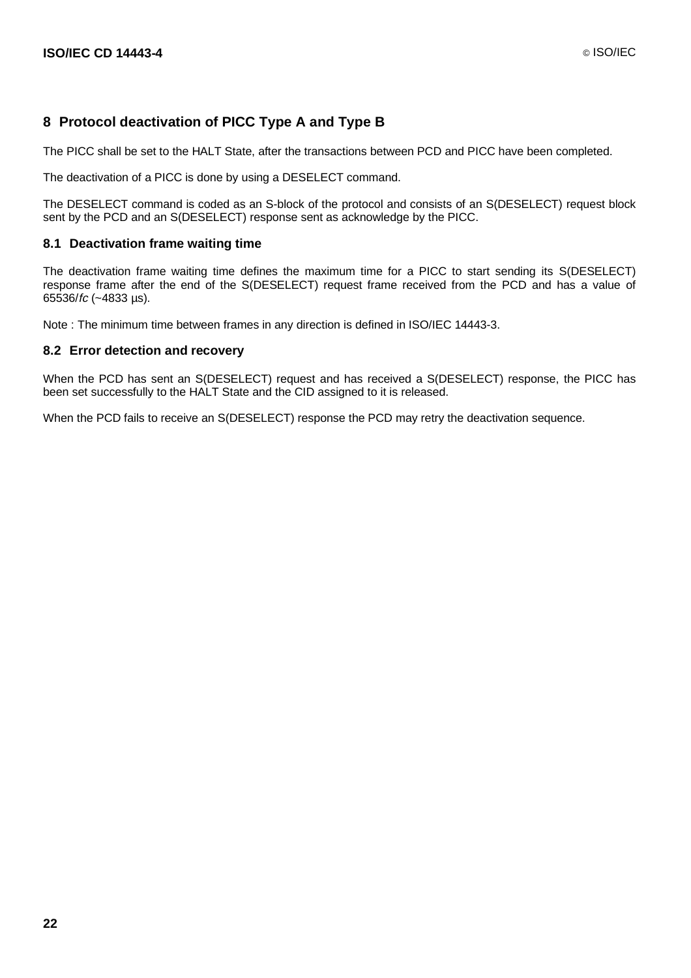### **8 Protocol deactivation of PICC Type A and Type B**

The PICC shall be set to the HALT State, after the transactions between PCD and PICC have been completed.

The deactivation of a PICC is done by using a DESELECT command.

The DESELECT command is coded as an S-block of the protocol and consists of an S(DESELECT) request block sent by the PCD and an S(DESELECT) response sent as acknowledge by the PICC.

#### **8.1 Deactivation frame waiting time**

The deactivation frame waiting time defines the maximum time for a PICC to start sending its S(DESELECT) response frame after the end of the S(DESELECT) request frame received from the PCD and has a value of 65536/fc (~4833 µs).

Note : The minimum time between frames in any direction is defined in ISO/IEC 14443-3.

#### **8.2 Error detection and recovery**

When the PCD has sent an S(DESELECT) request and has received a S(DESELECT) response, the PICC has been set successfully to the HALT State and the CID assigned to it is released.

When the PCD fails to receive an S(DESELECT) response the PCD may retry the deactivation sequence.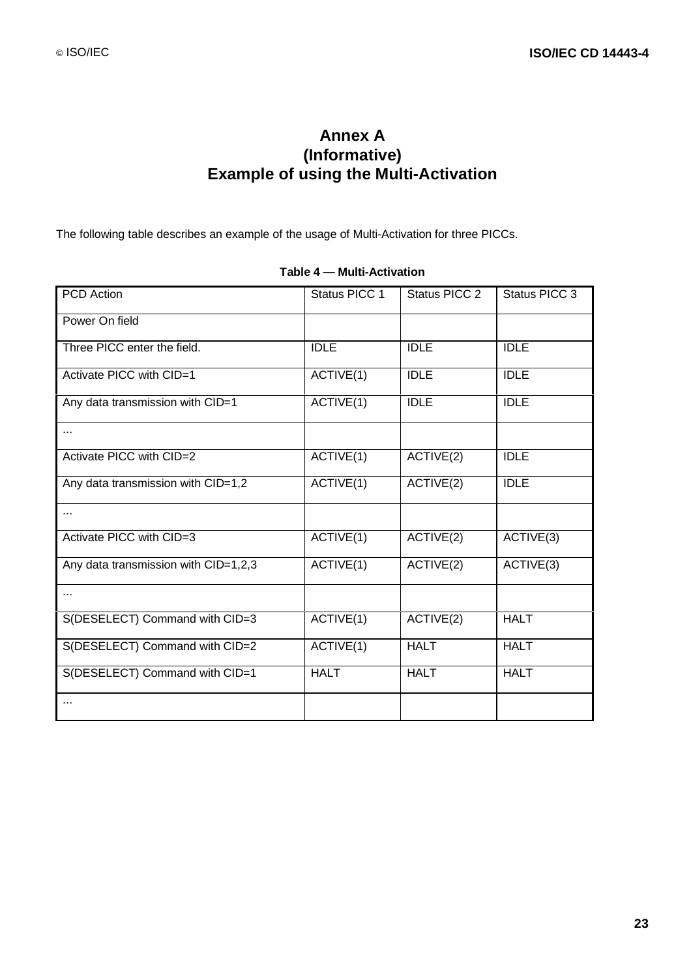# **Annex A (Informative) Example of using the Multi-Activation**

The following table describes an example of the usage of Multi-Activation for three PICCs.

| <b>PCD</b> Action                    | Status PICC 1 | Status PICC 2 | Status PICC 3 |
|--------------------------------------|---------------|---------------|---------------|
| Power On field                       |               |               |               |
| Three PICC enter the field.          | <b>IDLE</b>   | <b>IDLE</b>   | <b>IDLE</b>   |
| Activate PICC with CID=1             | ACTIVE(1)     | <b>IDLE</b>   | <b>IDLE</b>   |
| Any data transmission with CID=1     | ACTIVE(1)     | <b>IDLE</b>   | <b>IDLE</b>   |
| .                                    |               |               |               |
| Activate PICC with CID=2             | ACTIVE(1)     | ACTIVE(2)     | <b>IDLE</b>   |
| Any data transmission with CID=1,2   | ACTIVE(1)     | ACTIVE(2)     | <b>IDLE</b>   |
| $\cdots$                             |               |               |               |
| Activate PICC with CID=3             | ACTIVE(1)     | ACTIVE(2)     | ACTIVE(3)     |
| Any data transmission with CID=1,2,3 | ACTIVE(1)     | ACTIVE(2)     | ACTIVE(3)     |
|                                      |               |               |               |
| S(DESELECT) Command with CID=3       | ACTIVE(1)     | ACTIVE(2)     | <b>HALT</b>   |
| S(DESELECT) Command with CID=2       | ACTIVE(1)     | <b>HALT</b>   | <b>HALT</b>   |
| S(DESELECT) Command with CID=1       | <b>HALT</b>   | <b>HALT</b>   | <b>HALT</b>   |
| $\cdots$                             |               |               |               |

### **Table 4 — Multi-Activation**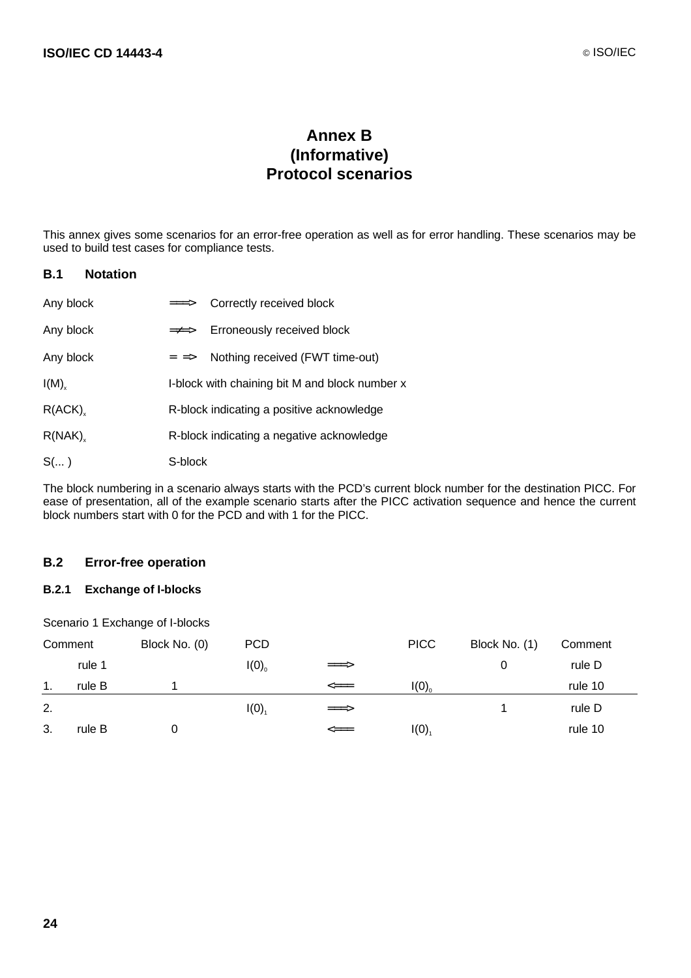# **Annex B (Informative) Protocol scenarios**

This annex gives some scenarios for an error-free operation as well as for error handling. These scenarios may be used to build test cases for compliance tests.

### **B.1 Notation**

| Any block  |                           | ===> Correctly received block                  |
|------------|---------------------------|------------------------------------------------|
| Any block  | $\Rightarrow \Rightarrow$ | Erroneously received block                     |
| Any block  | $=$ $\Rightarrow$         | Nothing received (FWT time-out)                |
| $I(M)_{x}$ |                           | I-block with chaining bit M and block number x |
| R(ACK)     |                           | R-block indicating a positive acknowledge      |
| R(NAK)     |                           | R-block indicating a negative acknowledge      |
| $S(\dots)$ | S-block                   |                                                |

The block numbering in a scenario always starts with the PCD's current block number for the destination PICC. For ease of presentation, all of the example scenario starts after the PICC activation sequence and hence the current block numbers start with 0 for the PCD and with 1 for the PICC.

#### **B.2 Error-free operation**

### **B.2.1 Exchange of I-blocks**

Scenario 1 Exchange of I-blocks

| Comment |        | Block No. (0) | <b>PCD</b> |               | <b>PICC</b>         | Block No. (1) | Comment |
|---------|--------|---------------|------------|---------------|---------------------|---------------|---------|
|         | rule 1 |               | I(0)       | $=\equiv>\;$  |                     | 0             | rule D  |
| 1.      | rule B |               |            | $\leq ==$     | I(0)                |               | rule 10 |
| 2.      |        |               | I(0)       | $\Rightarrow$ |                     |               | rule D  |
| 3.      | rule B |               |            | $\leq ==$     | $I(0)$ <sub>1</sub> |               | rule 10 |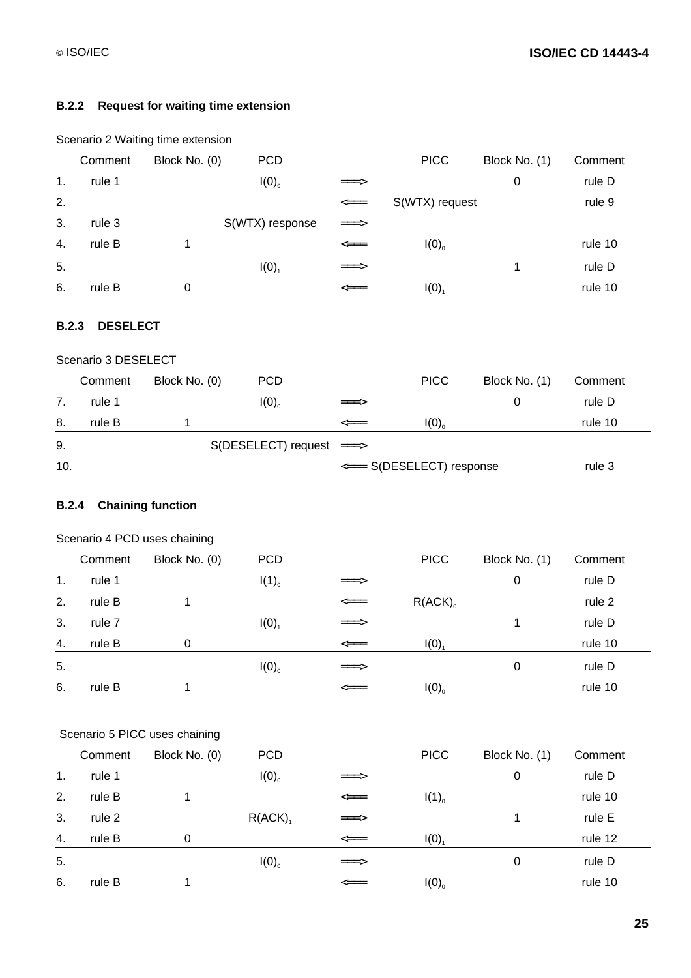### **B.2.2 Request for waiting time extension**

|       |                     | Scenario 2 Waiting time extension                        |                     |                                              |                           |               |         |
|-------|---------------------|----------------------------------------------------------|---------------------|----------------------------------------------|---------------------------|---------------|---------|
|       | Comment             | Block No. (0)                                            | <b>PCD</b>          |                                              | <b>PICC</b>               | Block No. (1) | Comment |
| 1.    | rule 1              |                                                          | I(0)                | ===>                                         |                           | $\pmb{0}$     | rule D  |
| 2.    |                     |                                                          |                     | $\qquad \qquad \Longleftarrow \qquad \qquad$ | S(WTX) request            |               | rule 9  |
| 3.    | rule 3              |                                                          | S(WTX) response     | ===>                                         |                           |               |         |
| 4.    | rule B              | 1                                                        |                     | $\texttt{==}$                                | I(0)                      |               | rule 10 |
| 5.    |                     |                                                          | $I(0)_{1}$          | ===>                                         |                           | 1             | rule D  |
| 6.    | rule B              | $\pmb{0}$                                                |                     | $\Longleftarrow$                             | $I(0)$ <sub>1</sub>       |               | rule 10 |
| B.2.3 | <b>DESELECT</b>     |                                                          |                     |                                              |                           |               |         |
|       | Scenario 3 DESELECT |                                                          |                     |                                              |                           |               |         |
|       | Comment             | Block No. (0)                                            | <b>PCD</b>          |                                              | <b>PICC</b>               | Block No. (1) | Comment |
| 7.    | rule 1              |                                                          | $I(0)$ <sub>0</sub> | ===>                                         |                           | $\mathbf 0$   | rule D  |
| 8.    | rule B              | 1                                                        |                     | $\textsf{p}=\textsf{p}$                      | I(0)                      |               | rule 10 |
| 9.    |                     |                                                          | S(DESELECT) request | $\Rightarrow$                                |                           |               |         |
| 10.   |                     |                                                          |                     |                                              | <=== S(DESELECT) response |               | rule 3  |
| B.2.4 |                     | <b>Chaining function</b><br>Scenario 4 PCD uses chaining |                     |                                              |                           |               |         |
|       | Comment             | Block No. (0)                                            | <b>PCD</b>          |                                              | <b>PICC</b>               | Block No. (1) | Comment |
| 1.    | rule 1              |                                                          | $I(1)_{0}$          |                                              |                           | $\pmb{0}$     | rule D  |
| 2.    | rule B              | 1                                                        |                     | $\Longleftarrow$                             | $R(ACK)$ <sub>0</sub>     |               | rule 2  |
| 3.    | rule 7              |                                                          | $I(0)$ <sub>1</sub> |                                              |                           | 1             | rule D  |
| 4.    | rule B              | $\pmb{0}$                                                |                     | $\Longleftarrow$                             | $I(0)_{1}$                |               | rule 10 |
| 5.    |                     |                                                          | I(0)                |                                              |                           | $\pmb{0}$     | rule D  |
| 6.    | rule B              | 1                                                        |                     | <≕                                           | I(0)                      |               | rule 10 |
|       |                     | Scenario 5 PICC uses chaining                            |                     |                                              |                           |               |         |
|       | Comment             | Block No. (0)                                            | <b>PCD</b>          |                                              | <b>PICC</b>               | Block No. (1) | Comment |
| 1.    | rule 1              |                                                          | I(0)                |                                              |                           | $\pmb{0}$     | rule D  |
| 2.    | rule B              | 1                                                        |                     |                                              | $I(1)_{0}$                |               | rule 10 |
| 3.    | rule 2              |                                                          | $R(ACK)_{1}$        | =>                                           |                           | 1             | rule E  |
| 4.    | rule B              | $\boldsymbol{0}$                                         |                     |                                              | $I(0)_{1}$                |               | rule 12 |
| 5.    |                     |                                                          | I(0)                |                                              |                           | $\pmb{0}$     | rule D  |
| 6.    | rule B              | 1                                                        |                     | $\Longleftarrow$                             | $I(0)$ <sub>0</sub>       |               | rule 10 |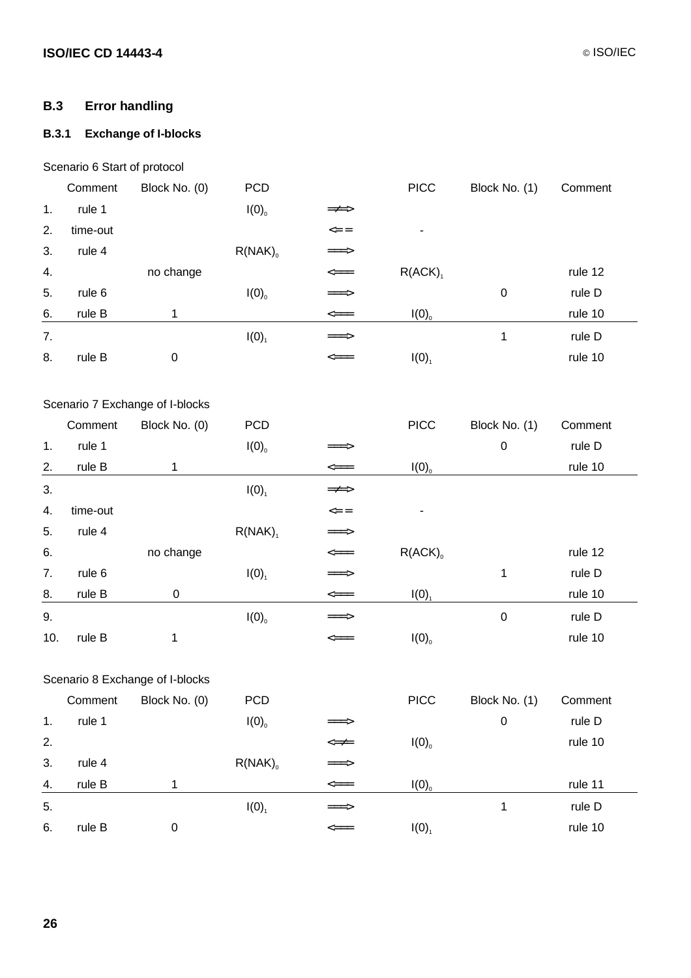### **B.3 Error handling**

## **B.3.1 Exchange of I-blocks**

### Scenario 6 Start of protocol

|     | Comment  | Block No. (0)                   | <b>PCD</b>          |                                           | <b>PICC</b>           | Block No. (1) | Comment |  |
|-----|----------|---------------------------------|---------------------|-------------------------------------------|-----------------------|---------------|---------|--|
| 1.  | rule 1   |                                 | I(0)                | =≠=>                                      |                       |               |         |  |
| 2.  | time-out |                                 |                     | $\mathrel{<=} \mathrel{=}$                |                       |               |         |  |
| 3.  | rule 4   |                                 | $R(NAK)_{0}$        | ===>                                      |                       |               |         |  |
| 4.  |          | no change                       |                     | $\textsf{p}$                              | $R(ACK)$ <sub>1</sub> |               | rule 12 |  |
| 5.  | rule 6   |                                 | I(0)                | ===>                                      |                       | $\pmb{0}$     | rule D  |  |
| 6.  | rule B   | 1                               |                     | $\textsf{p}$                              | $I(0)$ <sub>0</sub>   |               | rule 10 |  |
| 7.  |          |                                 | $I(0)_{1}$          | ===>                                      |                       | $\mathbf{1}$  | rule D  |  |
| 8.  | rule B   | $\pmb{0}$                       |                     | <===                                      | I(0)                  |               | rule 10 |  |
|     |          | Scenario 7 Exchange of I-blocks |                     |                                           |                       |               |         |  |
|     | Comment  | Block No. (0)                   | <b>PCD</b>          |                                           | <b>PICC</b>           | Block No. (1) | Comment |  |
| 1.  | rule 1   |                                 | $I(0)$ <sub>0</sub> | =>                                        |                       | $\pmb{0}$     | rule D  |  |
| 2.  | rule B   | 1                               |                     | $\textit{p}=\textit{p}$                   | I(0)                  |               | rule 10 |  |
| 3.  |          |                                 | I(0)                | =≠=>                                      |                       |               |         |  |
| 4.  | time-out |                                 |                     | $\Leftarrow$ =                            |                       |               |         |  |
| 5.  | rule 4   |                                 | $R(NAK)_{1}$        | ===>                                      |                       |               |         |  |
| 6.  |          | no change                       |                     | $\textsf{p}$                              | $R(ACK)$ <sub>0</sub> |               | rule 12 |  |
| 7.  | rule 6   |                                 | $I(0)$ <sub>1</sub> | ===>                                      |                       | 1             | rule D  |  |
| 8.  | rule B   | $\pmb{0}$                       |                     | $\textsf{p}$                              | $I(0)_{1}$            |               | rule 10 |  |
| 9.  |          |                                 | I(0)                | ===>                                      |                       | $\pmb{0}$     | rule D  |  |
| 10. | rule B   | 1                               |                     | <===                                      | I(0)                  |               | rule 10 |  |
|     |          | Scenario 8 Exchange of I-blocks |                     |                                           |                       |               |         |  |
|     |          | Comment Block No. (0)           | PCD                 |                                           | <b>PICC</b>           | Block No. (1) | Comment |  |
| 1.  | rule 1   |                                 | I(0)                | ===>                                      |                       | $\pmb{0}$     | rule D  |  |
| 2.  |          |                                 |                     | $\text{<} \text{=} \text{+}$              | I(0)                  |               | rule 10 |  |
| 3.  | rule 4   |                                 | $R(NAK)_{0}$        | $\Rightarrow$                             |                       |               |         |  |
| 4.  | rule B   | $\mathbf{1}$                    |                     | $\textit{p} \xspace = \textit{p} \xspace$ | I(0)                  |               | rule 11 |  |
| 5.  |          |                                 | $I(0)_{1}$          | $\equiv \equiv \geq$                      |                       | $\mathbf 1$   | rule D  |  |
| 6.  | rule B   | $\pmb{0}$                       |                     | $\textsf{<}$                              | $I(0)_{1}$            |               | rule 10 |  |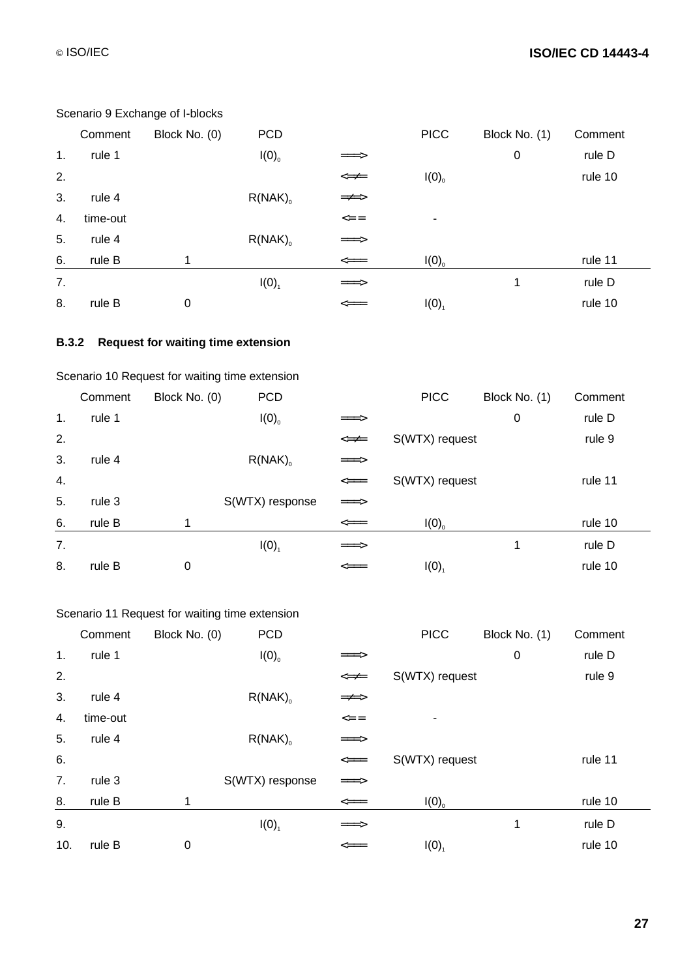## © ISO/IEC **ISO/IEC CD 14443-4**

|    | <b>OCCTRITO J EXCHANGE OF F DIOCNS</b> |               |              |                                    |             |               |         |  |  |
|----|----------------------------------------|---------------|--------------|------------------------------------|-------------|---------------|---------|--|--|
|    | Comment                                | Block No. (0) | <b>PCD</b>   |                                    | <b>PICC</b> | Block No. (1) | Comment |  |  |
| 1. | rule 1                                 |               | I(0)         | ===>                               |             | $\pmb{0}$     | rule D  |  |  |
| 2. |                                        |               |              | $\Leftarrow \neq$                  | I(0)        |               | rule 10 |  |  |
| 3. | rule 4                                 |               | $R(NAK)_{0}$ | $\Rightarrow \Rightarrow$          |             |               |         |  |  |
| 4. | time-out                               |               |              | $\leq$ =                           | ۰           |               |         |  |  |
| 5. | rule 4                                 |               | $R(NAK)_{0}$ | $=\equiv >$                        |             |               |         |  |  |
| 6. | rule B                                 | 1             |              | $\textcolor{blue}{\Longleftarrow}$ | I(0)        |               | rule 11 |  |  |
| 7. |                                        |               | I(0)         | $=\equiv >$                        |             | 1             | rule D  |  |  |
| 8. | rule B                                 | 0             |              | $\Longleftarrow$                   | I(0)        |               | rule 10 |  |  |
|    |                                        |               |              |                                    |             |               |         |  |  |

### Scenario 9 Exchange of I-blocks

### **B.3.2 Request for waiting time extension**

## Scenario 10 Request for waiting time extension

|    | Comment | Block No. (0) | <b>PCD</b>            |                                                  | <b>PICC</b>    | Block No. (1) | Comment |
|----|---------|---------------|-----------------------|--------------------------------------------------|----------------|---------------|---------|
| 1. | rule 1  |               | $I(0)$ <sub>0</sub>   | $=\equiv \equiv \gt$                             |                | $\mathbf 0$   | rule D  |
| 2. |         |               |                       | $\Leftarrow \neq$                                | S(WTX) request |               | rule 9  |
| 3. | rule 4  |               | $R(NAK)$ <sub>0</sub> | $=\equiv >$                                      |                |               |         |
| 4. |         |               |                       | $\leq ==$                                        | S(WTX) request |               | rule 11 |
| 5. | rule 3  |               | S(WTX) response       | $\Rightarrow$                                    |                |               |         |
| 6. | rule B  | 1             |                       | $\textcolor{blue}{\displaystyle\Longleftarrow}=$ | I(0)           |               | rule 10 |
| 7. |         |               | I(0)                  | $=\equiv \equiv \gt$                             |                | 1             | rule D  |
| 8. | rule B  | 0             |                       | $\leq ==$                                        | I(0)           |               | rule 10 |

### Scenario 11 Request for waiting time extension

|     | Comment  | Block No. (0) | <b>PCD</b>      |                   | <b>PICC</b>    | Block No. (1) | Comment |
|-----|----------|---------------|-----------------|-------------------|----------------|---------------|---------|
| 1.  | rule 1   |               | I(0)            | ===>              |                | $\mathbf 0$   | rule D  |
| 2.  |          |               |                 | $\Leftarrow \neq$ | S(WTX) request |               | rule 9  |
| 3.  | rule 4   |               | $R(NAK)_{0}$    | =≠=>              |                |               |         |
| 4.  | time-out |               |                 | $<==$             |                |               |         |
| 5.  | rule 4   |               | $R(NAK)_{0}$    | $=\equiv >$       |                |               |         |
| 6.  |          |               |                 | $\texttt{<=}$     | S(WTX) request |               | rule 11 |
| 7.  | rule 3   |               | S(WTX) response | $\Rightarrow$     |                |               |         |
| 8.  | rule B   | 1             |                 | $\textsf{p}$      | I(0)           |               | rule 10 |
| 9.  |          |               | I(0)            | $=\equiv >$       |                | 1             | rule D  |
| 10. | rule B   | 0             |                 | $\Longleftarrow$  | I(0)           |               | rule 10 |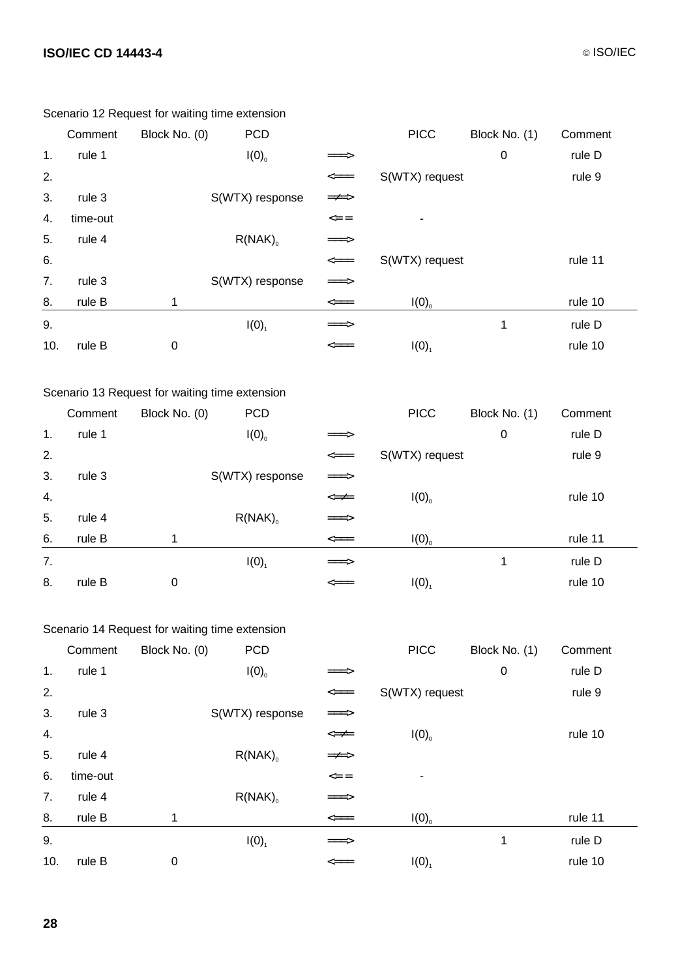|     | Comment                                        | Block No. (0)                                  | <b>PCD</b>      |                                                                | <b>PICC</b>         | Block No. (1) | Comment |
|-----|------------------------------------------------|------------------------------------------------|-----------------|----------------------------------------------------------------|---------------------|---------------|---------|
| 1.  | rule 1                                         |                                                | I(0)            | ≔>                                                             |                     | $\mathbf 0$   | rule D  |
| 2.  |                                                |                                                |                 | $\texttt{<=}$                                                  | S(WTX) request      |               | rule 9  |
| 3.  | rule 3                                         |                                                | S(WTX) response | $\Rightarrow \Rightarrow$                                      |                     |               |         |
| 4.  | time-out                                       |                                                |                 | $\mathrel{<=} \mathrel{=}=$                                    |                     |               |         |
| 5.  | rule 4                                         |                                                | $R(NAK)_{0}$    | ===>                                                           |                     |               |         |
| 6.  |                                                |                                                |                 | $\textcolor{blue}{\textbf{---}}\textcolor{blue}{\textbf{---}}$ | S(WTX) request      |               | rule 11 |
| 7.  | rule 3                                         |                                                | S(WTX) response | ===>                                                           |                     |               |         |
| 8.  | rule B                                         | 1                                              |                 | $\textit{p}=\textit{p}$                                        | $I(0)$ <sub>0</sub> |               | rule 10 |
| 9.  |                                                |                                                | $I(0)_{1}$      | ===>                                                           |                     | $\mathbf{1}$  | rule D  |
| 10. | rule B                                         | $\pmb{0}$                                      |                 | <===                                                           | I(0)                |               | rule 10 |
|     |                                                |                                                |                 |                                                                |                     |               |         |
|     |                                                | Scenario 13 Request for waiting time extension |                 |                                                                |                     |               |         |
|     | Comment                                        | Block No. (0)                                  | <b>PCD</b>      |                                                                | <b>PICC</b>         | Block No. (1) | Comment |
| 1.  | rule 1                                         |                                                | I(0)            | ===>                                                           |                     | $\pmb{0}$     | rule D  |
| 2.  |                                                |                                                |                 |                                                                | S(WTX) request      |               | rule 9  |
| 3.  | rule 3                                         |                                                | S(WTX) response | $\Rightarrow$                                                  |                     |               |         |
| 4.  |                                                |                                                |                 | $\Leftarrow \neq =$                                            | I(0)                |               | rule 10 |
| 5.  | rule 4                                         |                                                | $R(NAK)_{0}$    | ===>                                                           |                     |               |         |
| 6.  | rule B                                         | 1                                              |                 | $\textcolor{blue}{\textbf{---}}\textcolor{blue}{\textbf{---}}$ | I(0)                |               | rule 11 |
| 7.  |                                                |                                                | $I(0)_{1}$      | ===>                                                           |                     | $\mathbf 1$   | rule D  |
| 8.  | rule B                                         | $\pmb{0}$                                      |                 | $\leq ==$                                                      | $I(0)_{1}$          |               | rule 10 |
|     |                                                |                                                |                 |                                                                |                     |               |         |
|     | Scenario 14 Request for waiting time extension |                                                |                 |                                                                |                     |               |         |

Scenario 12 Request for waiting time extension

|     | Comment  | Block No. (0) | <b>PCD</b>            |                           | <b>PICC</b>    | Block No. (1) | Comment |
|-----|----------|---------------|-----------------------|---------------------------|----------------|---------------|---------|
| 1.  | rule 1   |               | I(0)                  | $=\equiv \equiv \gt$      |                | $\pmb{0}$     | rule D  |
| 2.  |          |               |                       | $\texttt{<=}$             | S(WTX) request |               | rule 9  |
| 3.  | rule 3   |               | S(WTX) response       | $\Rightarrow$             |                |               |         |
| 4.  |          |               |                       | $\Leftarrow \neq$         | I(0)           |               | rule 10 |
| 5.  | rule 4   |               | $R(NAK)$ <sub>o</sub> | $\Rightarrow \Rightarrow$ |                |               |         |
| 6.  | time-out |               |                       | $\leq$ =                  | ٠              |               |         |
| 7.  | rule 4   |               | $R(NAK)$ <sub>o</sub> | $=\equiv >$               |                |               |         |
| 8.  | rule B   | 1             |                       | $\texttt{<=}$             | I(0)           |               | rule 11 |
| 9.  |          |               | I(0)                  | $=\equiv >$               |                | 1             | rule D  |
| 10. | rule B   | $\pmb{0}$     |                       | $\leq ==$                 | I(0)           |               | rule 10 |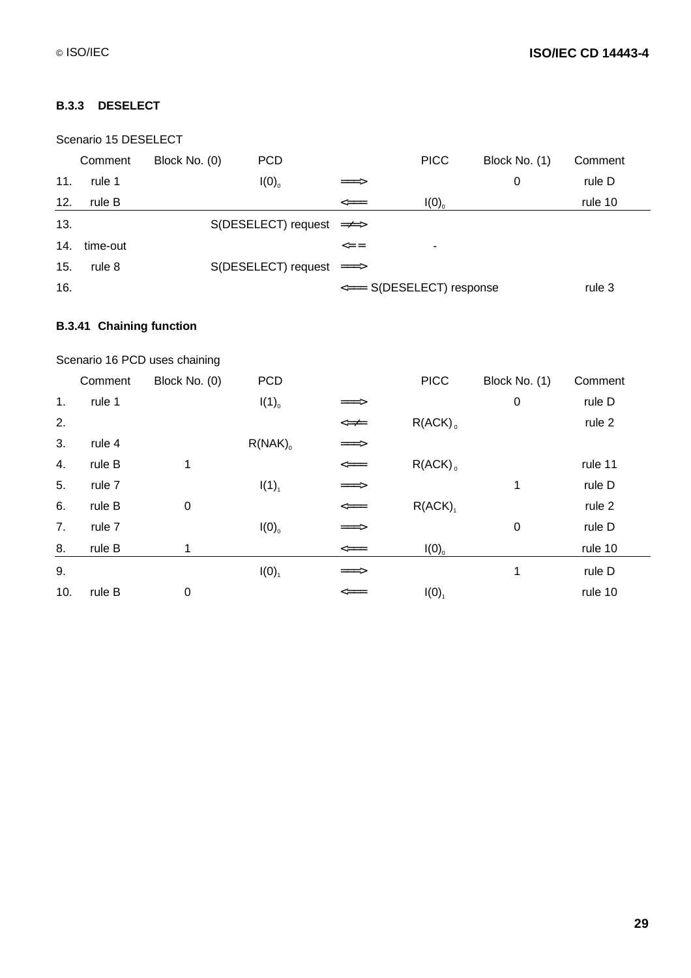### **B.3.3 DESELECT**

|     | Scenario 15 DESELECT |               |                                   |                           |             |               |         |  |  |
|-----|----------------------|---------------|-----------------------------------|---------------------------|-------------|---------------|---------|--|--|
|     | Comment              | Block No. (0) | <b>PCD</b>                        |                           | <b>PICC</b> | Block No. (1) | Comment |  |  |
| 11. | rule 1               |               | I(0)                              | $\Rightarrow$             |             | 0             | rule D  |  |  |
| 12. | rule B               |               |                                   | $\leq ==$                 | I(0)        |               | rule 10 |  |  |
| 13. |                      |               | $S(DESELECT) request$ = $\neq$ => |                           |             |               |         |  |  |
| 14. | time-out             |               |                                   | $\leq$ =                  | ۰           |               |         |  |  |
| 15. | rule 8               |               | S(DESELECT) request ===>          |                           |             |               |         |  |  |
| 16. |                      |               |                                   | <=== S(DESELECT) response |             |               | rule 3  |  |  |

## **B.3.41 Chaining function**

|                | Scenario 16 PCD uses chaining |               |                     |                                                                           |                       |               |         |  |  |
|----------------|-------------------------------|---------------|---------------------|---------------------------------------------------------------------------|-----------------------|---------------|---------|--|--|
|                | Comment                       | Block No. (0) | <b>PCD</b>          |                                                                           | <b>PICC</b>           | Block No. (1) | Comment |  |  |
| 1 <sub>1</sub> | rule 1                        |               | $I(1)$ <sub>0</sub> | ===>                                                                      |                       | $\pmb{0}$     | rule D  |  |  |
| 2.             |                               |               |                     | $\Leftarrow \neq$                                                         | $R(ACK)$ <sub>0</sub> |               | rule 2  |  |  |
| 3.             | rule 4                        |               | $R(NAK)_{0}$        | ===>                                                                      |                       |               |         |  |  |
| 4.             | rule B                        | 1             |                     | $\textcolor{blue}{\Longleftarrow} \textcolor{blue}{=}\textcolor{blue}{=}$ | $R(ACK)$ <sub>0</sub> |               | rule 11 |  |  |
| 5.             | rule 7                        |               | $I(1)_{1}$          | $\equiv \equiv \equiv \geq$                                               |                       | 1             | rule D  |  |  |
| 6.             | rule B                        | $\mathbf 0$   |                     | $\Longleftarrow$                                                          | R(ACK)                |               | rule 2  |  |  |
| 7.             | rule 7                        |               | I(0)                | $=\equiv \equiv \gt$                                                      |                       | $\pmb{0}$     | rule D  |  |  |
| 8.             | rule B                        | 1             |                     | $\textsf{<}=\textsf{=}$                                                   | I(0)                  |               | rule 10 |  |  |
| 9.             |                               |               | I(0)                | $\equiv \equiv \equiv \geq$                                               |                       | 1             | rule D  |  |  |
| 10.            | rule B                        | $\mathbf 0$   |                     | $\leq ==$                                                                 | I(0)                  |               | rule 10 |  |  |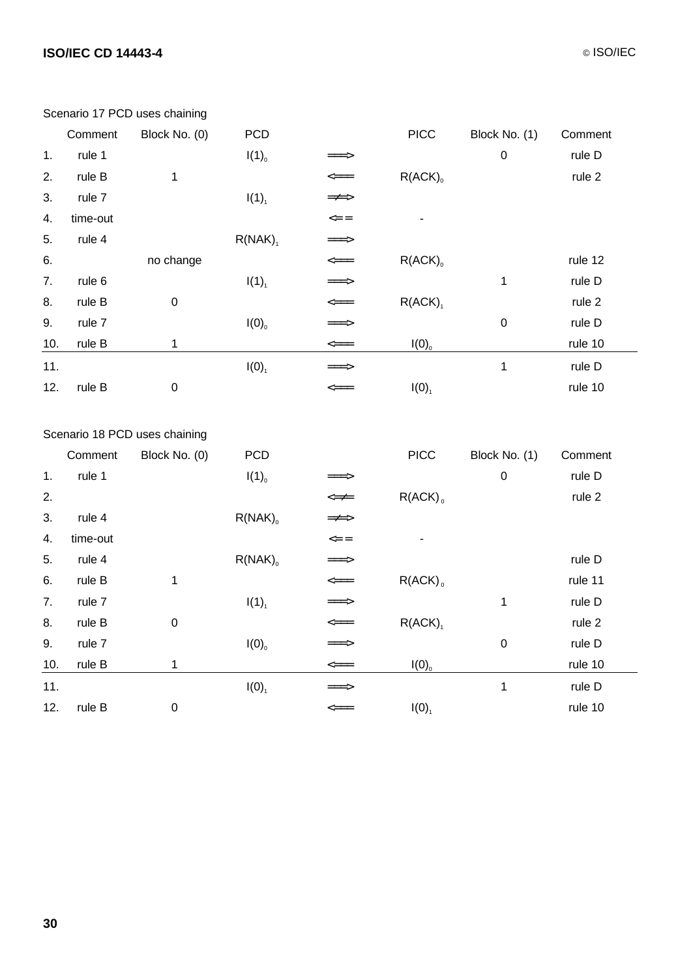# **ISO/IEC CD 14443-4** © ISO/IEC

-

|     | Comment                       | Block No. (0)    | <b>PCD</b>            |                                                                                  | <b>PICC</b>  | Block No. (1) | Comment |  |
|-----|-------------------------------|------------------|-----------------------|----------------------------------------------------------------------------------|--------------|---------------|---------|--|
| 1.  | rule 1                        |                  | $I(1)_{0}$            | $=\equiv >$                                                                      |              | $\mathbf 0$   | rule D  |  |
| 2.  | rule B                        | 1                |                       | $\textcolor{blue}{\displaystyle\text{<}=\textcolor{blue}{=}\textcolor{blue}{=}}$ | $R(ACK)_{0}$ |               | rule 2  |  |
| 3.  | rule 7                        |                  | $I(1)_{1}$            | $\Rightarrow \Rightarrow$                                                        |              |               |         |  |
| 4.  | time-out                      |                  |                       | $\leq$ =                                                                         |              |               |         |  |
| 5.  | rule 4                        |                  | $R(NAK)$ <sub>1</sub> | $\equiv \equiv \equiv \geq$                                                      |              |               |         |  |
| 6.  |                               | no change        |                       | $\texttt{<=}$                                                                    | $R(ACK)_{0}$ |               | rule 12 |  |
| 7.  | rule 6                        |                  | $I(1)_{1}$            | $=\equiv >$                                                                      |              | 1             | rule D  |  |
| 8.  | rule B                        | $\boldsymbol{0}$ |                       | $\texttt{<=}$                                                                    | $R(ACK)_{1}$ |               | rule 2  |  |
| 9.  | rule 7                        |                  | $I(0)$ <sub>0</sub>   | $=\equiv >$                                                                      |              | $\mathbf 0$   | rule D  |  |
| 10. | rule B                        | 1                |                       | $\texttt{<=}$                                                                    | I(0)         |               | rule 10 |  |
| 11. |                               |                  | $I(0)$ <sub>1</sub>   | ===>                                                                             |              | 1             | rule D  |  |
| 12. | rule B                        | $\boldsymbol{0}$ |                       | $\leq ==$                                                                        | I(0)         |               | rule 10 |  |
|     |                               |                  |                       |                                                                                  |              |               |         |  |
|     | Scenario 18 PCD uses chaining |                  |                       |                                                                                  |              |               |         |  |
|     | Comment                       | Block No. (0)    | <b>PCD</b>            |                                                                                  | <b>PICC</b>  | Block No. (1) | Comment |  |

|     | Comment  | Block No. (0)    | <b>PCD</b>            |                                                   | <b>PICC</b>           | Block No. (1)    | Comment |
|-----|----------|------------------|-----------------------|---------------------------------------------------|-----------------------|------------------|---------|
| 1.  | rule 1   |                  | $I(1)_{0}$            | ===>                                              |                       | $\boldsymbol{0}$ | rule D  |
| 2.  |          |                  |                       | $\Leftarrow \neq =$                               | $R(ACK)$ <sub>0</sub> |                  | rule 2  |
| 3.  | rule 4   |                  | $R(NAK)$ <sub>0</sub> | =≠=>                                              |                       |                  |         |
| 4.  | time-out |                  |                       | $\mathrel{<=} \mathrel{=}$                        |                       |                  |         |
| 5.  | rule 4   |                  | $R(NAK)$ <sub>0</sub> | $=\equiv >$                                       |                       |                  | rule D  |
| 6.  | rule B   | 1                |                       | $\textcolor{blue}{\textbf{}\textbf{=}\textbf{=}}$ | $R(ACK)$ <sub>0</sub> |                  | rule 11 |
| 7.  | rule 7   |                  | $I(1)_{1}$            | $\Rightarrow$                                     |                       | 1                | rule D  |
| 8.  | rule B   | $\mathbf 0$      |                       | $\textsf{<}$                                      | $R(ACK)$ <sub>1</sub> |                  | rule 2  |
| 9.  | rule 7   |                  | I(0)                  | $=\equiv >$                                       |                       | $\mathbf 0$      | rule D  |
| 10. | rule B   | 1                |                       |                                                   | I(0)                  |                  | rule 10 |
| 11. |          |                  | $I(0)_{1}$            | $=\equiv >$                                       |                       | 1                | rule D  |
| 12. | rule B   | $\boldsymbol{0}$ |                       | $\texttt{<=}$                                     | I(0)                  |                  | rule 10 |
|     |          |                  |                       |                                                   |                       |                  |         |

#### Scenario 17 PCD uses chaining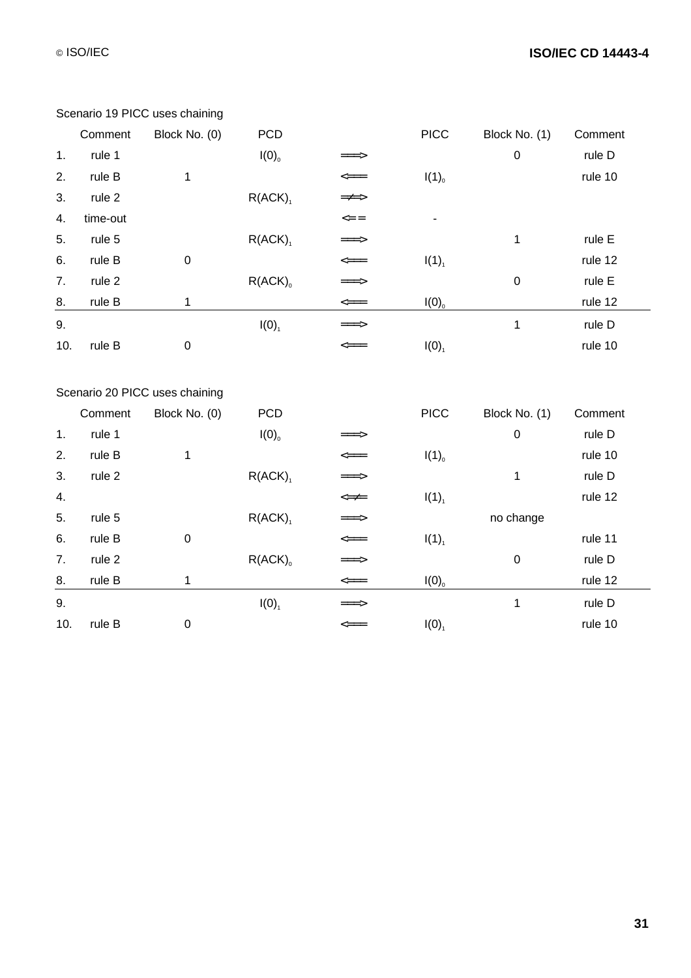|     | Comment  | Block No. (0)                  | <b>PCD</b>            |                            | <b>PICC</b>         | Block No. (1)    | Comment |
|-----|----------|--------------------------------|-----------------------|----------------------------|---------------------|------------------|---------|
| 1.  | rule 1   |                                | $I(0)$ <sub>0</sub>   | ===>                       |                     | $\pmb{0}$        | rule D  |
| 2.  | rule B   | $\mathbf 1$                    |                       | $\textsf{p}$               | $I(1)$ <sub>0</sub> |                  | rule 10 |
| 3.  | rule 2   |                                | $R(ACK)_{1}$          | =≠=>                       |                     |                  |         |
| 4.  | time-out |                                |                       | $\mathrel{<=} \mathrel{=}$ |                     |                  |         |
| 5.  | rule 5   |                                | $R(ACK)_{1}$          | ===>                       |                     | 1                | rule E  |
| 6.  | rule B   | $\pmb{0}$                      |                       | $\texttt{<=}$              | $I(1)_{1}$          |                  | rule 12 |
| 7.  | rule 2   |                                | $R(ACK)$ <sub>0</sub> | ===>                       |                     | $\pmb{0}$        | rule E  |
| 8.  | rule B   | $\mathbf 1$                    |                       | $\textsf{p}$               | I(0)                |                  | rule 12 |
| 9.  |          |                                | $I(0)$ <sub>1</sub>   | ===>                       |                     | 1                | rule D  |
| 10. | rule B   | $\pmb{0}$                      |                       | $\leq ==$                  | $I(0)$ <sub>1</sub> |                  | rule 10 |
|     |          |                                |                       |                            |                     |                  |         |
|     |          | Scenario 20 PICC uses chaining |                       |                            |                     |                  |         |
|     | Comment  | Block No. (0)                  | <b>PCD</b>            |                            | <b>PICC</b>         | Block No. (1)    | Comment |
| 1.  | rule 1   |                                | $I(0)$ <sub>0</sub>   |                            |                     | $\mathbf 0$      | rule D  |
| 2.  | rule B   | 1                              |                       | $\textit{p}=\textit{p}$    | $I(1)$ <sub>0</sub> |                  | rule 10 |
| 3.  | rule 2   |                                | $R(ACK)_{1}$          | ===>                       |                     | 1                | rule D  |
| 4.  |          |                                |                       | $<\neq\neq$                | $I(1)_{1}$          |                  | rule 12 |
| 5.  | rule 5   |                                | $R(ACK)_{1}$          | ===>                       |                     | no change        |         |
| 6.  | rule B   | $\pmb{0}$                      |                       | $\textsf{p}$               | $I(1)_{1}$          |                  | rule 11 |
| 7.  | rule 2   |                                | $R(ACK)_{0}$          | ===>                       |                     | $\boldsymbol{0}$ | rule D  |
| 8.  | rule B   | $\mathbf 1$                    |                       |                            | I(0)                |                  | rule 12 |
| 9.  |          |                                | $I(0)$ <sub>1</sub>   |                            |                     | 1                | rule D  |
| 10. | rule B   | $\pmb{0}$                      |                       | <===                       | $I(0)$ <sub>1</sub> |                  | rule 10 |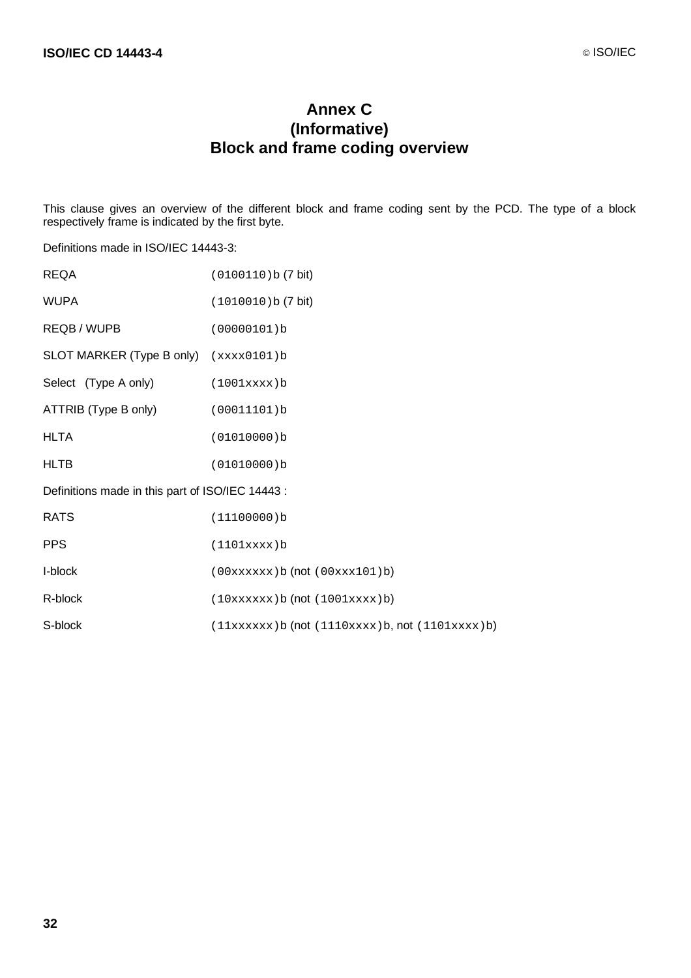# **Annex C (Informative) Block and frame coding overview**

This clause gives an overview of the different block and frame coding sent by the PCD. The type of a block respectively frame is indicated by the first byte.

Definitions made in ISO/IEC 14443-3:

| <b>REQA</b>                                      | (0100110) b (7 bit)                                  |
|--------------------------------------------------|------------------------------------------------------|
| <b>WUPA</b>                                      | (1010010) b (7 bit)                                  |
| REQB / WUPB                                      | (00000101)b                                          |
| SLOT MARKER (Type B only)                        | (xxxx0101)b                                          |
| Select (Type A only)                             | (1001xxx)                                            |
| ATTRIB (Type B only)                             | (00011101)b                                          |
| <b>HLTA</b>                                      | (01010000)b                                          |
| <b>HLTB</b>                                      | (01010000)b                                          |
| Definitions made in this part of ISO/IEC 14443 : |                                                      |
| <b>RATS</b>                                      | (11100000)b                                          |
| <b>PPS</b>                                       | (1101xxx)                                            |
| I-block                                          | (00xxxxx) b (not (00xxx101)b)                        |
| R-block                                          | (10xxxxx) b (not (1001xxxx)b)                        |
| S-block                                          | $(11xxxxxx)b$ (not $(1110xxx)b$ , not $(1101xxx)b$ ) |